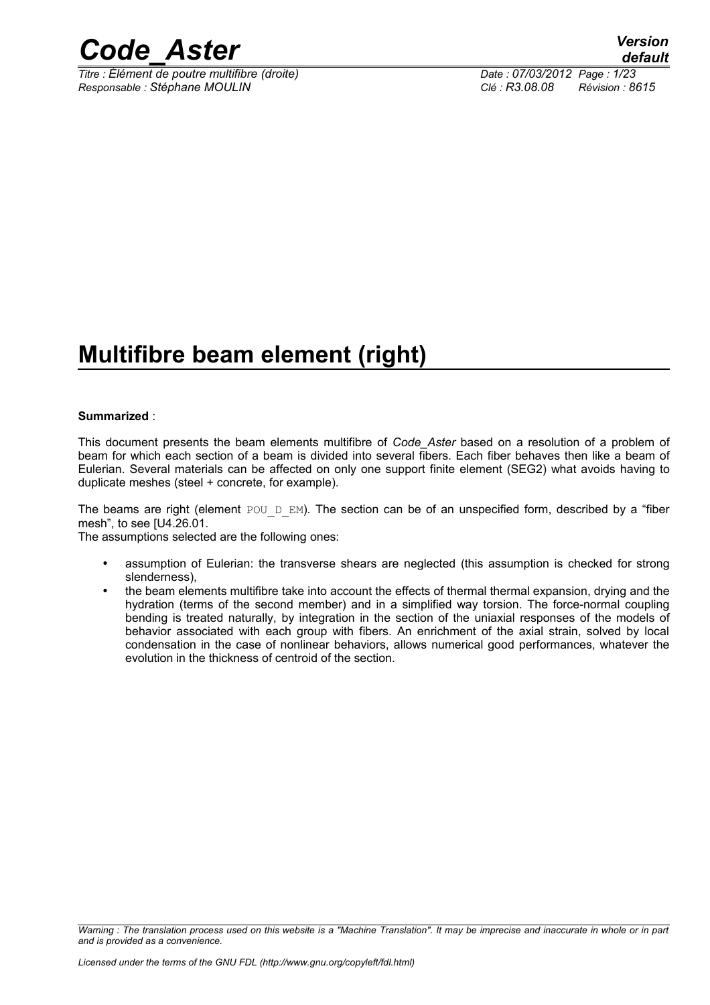

*Titre : Élément de poutre multifibre (droite) Date : 07/03/2012 Page : 1/23 Responsable : Stéphane MOULIN Clé : R3.08.08 Révision : 8615*

### **Multifibre beam element (right)**

#### **Summarized** :

This document presents the beam elements multifibre of *Code\_Aster* based on a resolution of a problem of beam for which each section of a beam is divided into several fibers. Each fiber behaves then like a beam of Eulerian. Several materials can be affected on only one support finite element (SEG2) what avoids having to duplicate meshes (steel + concrete, for example).

The beams are right (element POU D EM). The section can be of an unspecified form, described by a "fiber mesh", to see [U4.26.01.

The assumptions selected are the following ones:

- assumption of Eulerian: the transverse shears are neglected (this assumption is checked for strong slenderness),
- the beam elements multifibre take into account the effects of thermal thermal expansion, drying and the hydration (terms of the second member) and in a simplified way torsion. The force-normal coupling bending is treated naturally, by integration in the section of the uniaxial responses of the models of behavior associated with each group with fibers. An enrichment of the axial strain, solved by local condensation in the case of nonlinear behaviors, allows numerical good performances, whatever the evolution in the thickness of centroid of the section.

*Warning : The translation process used on this website is a "Machine Translation". It may be imprecise and inaccurate in whole or in part and is provided as a convenience.*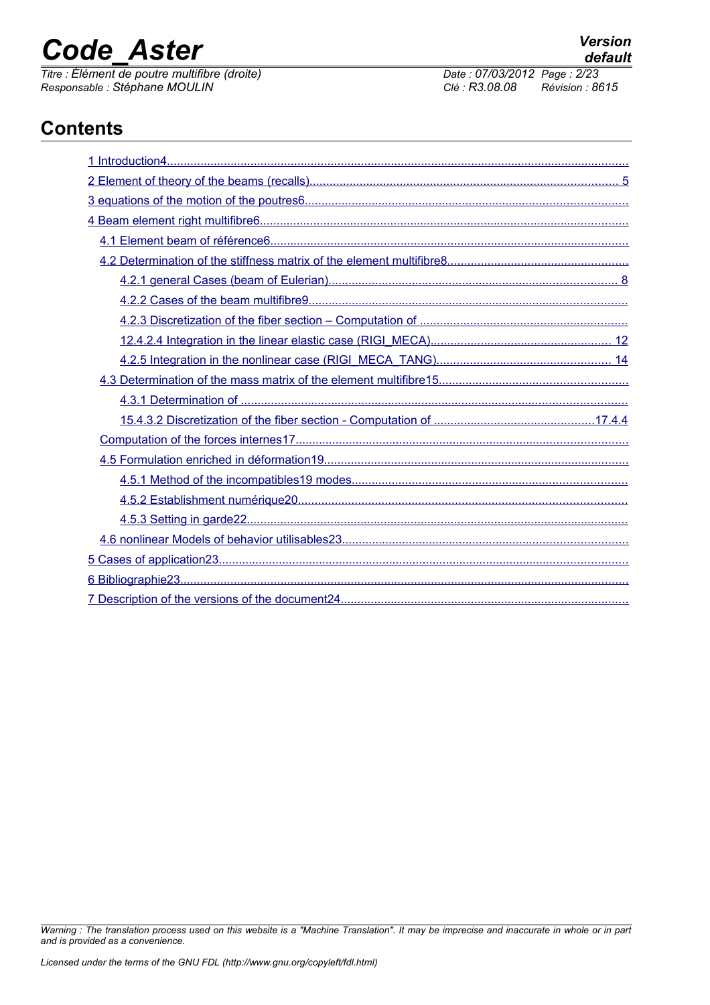# *Code\_Aster Version*<br> *Titre : Élément de poutre multifibre (droite) Date : 07/03/2012 Page : 2/23*

*Titre : Élément de poutre multifibre (droite) Date : 07/03/2012 Page : 2/23 Responsable : Stéphane MOULIN Clé : R3.08.08 Révision : 8615*

### **Contents**

*Warning : The translation process used on this website is a "Machine Translation". It may be imprecise and inaccurate in whole or in part and is provided as a convenience.*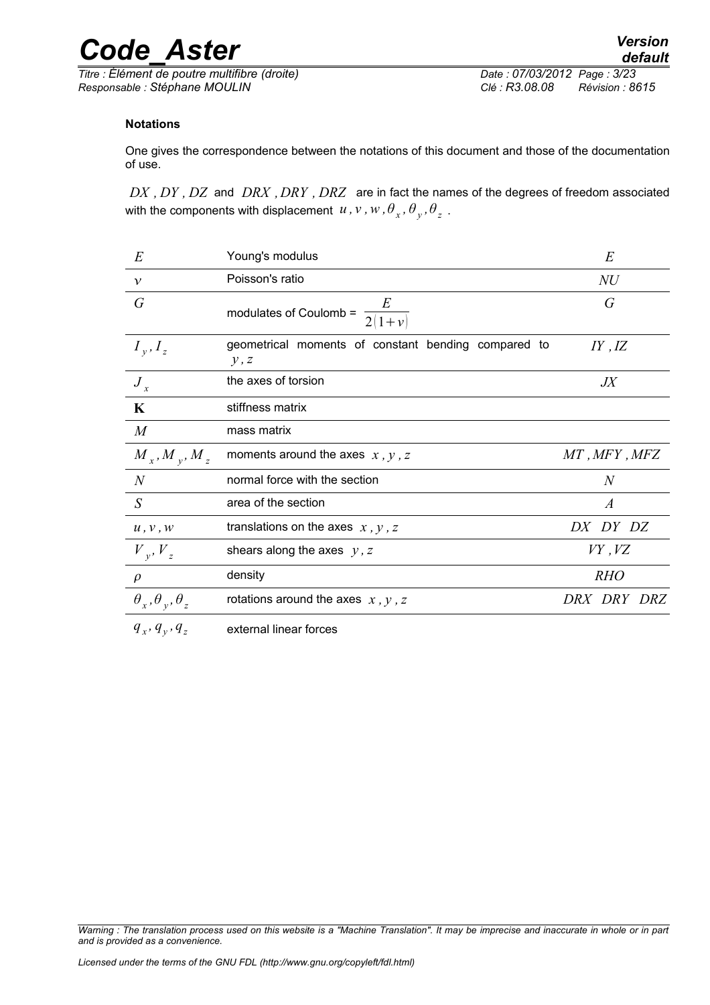*Titre : Élément de poutre multifibre (droite) Date : 07/03/2012 Page : 3/23 Responsable : Stéphane MOULIN Clé : R3.08.08 Révision : 8615*

*default*

#### **Notations**

One gives the correspondence between the notations of this document and those of the documentation of use.

*DX , DY , DZ* and *DRX ,DRY , DRZ* are in fact the names of the degrees of freedom associated with the components with displacement  $u$  ,  $v$  ,  $w$  ,  $\theta_{_X}$  ,  $\theta_{_Y}$  ,  $\theta_{_Z}$  .

| $E\,$                                | Young's modulus                                             | E                |
|--------------------------------------|-------------------------------------------------------------|------------------|
| $\mathcal V$                         | Poisson's ratio                                             | NU               |
| G                                    | modulates of Coulomb = $\frac{E}{2(1+v)}$                   | G                |
| $I_{v}, I_{z}$                       | geometrical moments of constant bending compared to<br>y, z | IY, IZ           |
| $J_{x}$                              | the axes of torsion                                         | $J\!X$           |
| $\mathbf K$                          | stiffness matrix                                            |                  |
| $\boldsymbol{M}$                     | mass matrix                                                 |                  |
| $M_{x}$ , $M_{y}$ , $M_{z}$          | moments around the axes $x, y, z$                           | MT, MFY, MFZ     |
| $\overline{N}$                       | normal force with the section                               | $\overline{N}$   |
| S                                    | area of the section                                         | $\boldsymbol{A}$ |
| u, v, w                              | translations on the axes $x$ , $y$ , $z$                    | DX DY DZ         |
| $V_{v}$ , $V_{z}$                    | shears along the axes $y, z$                                | $VY$ , $VZ$      |
| $\rho$                               | density                                                     | <b>RHO</b>       |
| $\theta_x$ , $\theta_y$ , $\theta_z$ | rotations around the axes $x$ , $y$ , $z$                   | DRX DRY DRZ      |
| $q_{x}, q_{y}, q_{z}$                | external linear forces                                      |                  |

*Warning : The translation process used on this website is a "Machine Translation". It may be imprecise and inaccurate in whole or in part and is provided as a convenience.*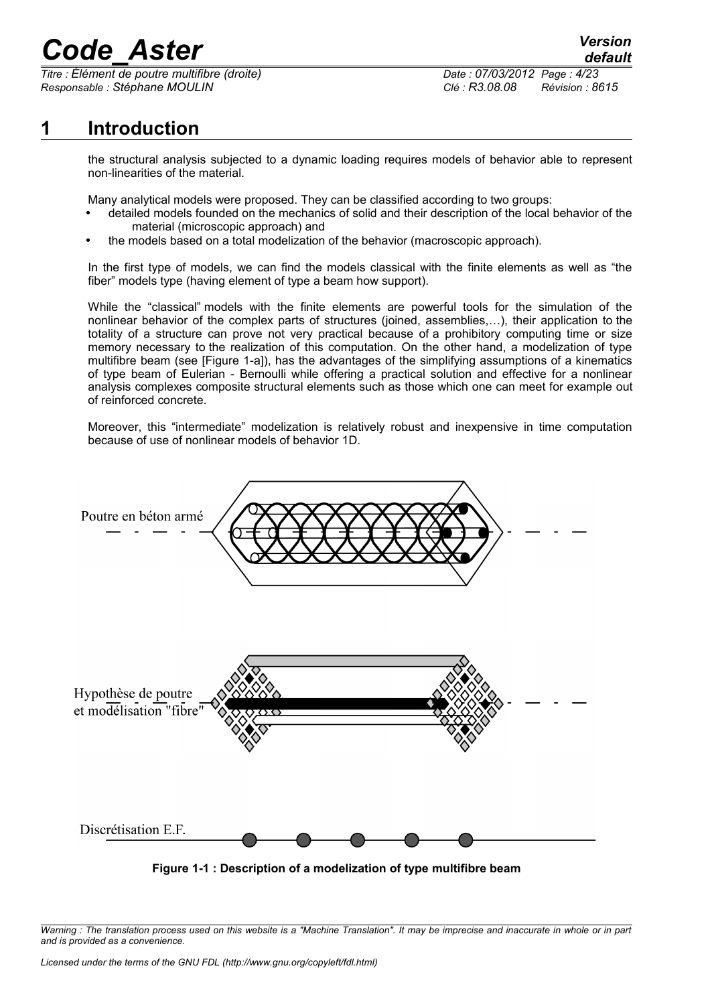*Titre : Élément de poutre multifibre (droite) Date : 07/03/2012 Page : 4/23 Responsable : Stéphane MOULIN Clé : R3.08.08 Révision : 8615*

*default*

### **1 Introduction**

<span id="page-3-0"></span>the structural analysis subjected to a dynamic loading requires models of behavior able to represent non-linearities of the material.

Many analytical models were proposed. They can be classified according to two groups:

- detailed models founded on the mechanics of solid and their description of the local behavior of the material (microscopic approach) and
- the models based on a total modelization of the behavior (macroscopic approach).

In the first type of models, we can find the models classical with the finite elements as well as "the fiber" models type (having element of type a beam how support).

While the "classical" models with the finite elements are powerful tools for the simulation of the nonlinear behavior of the complex parts of structures (joined, assemblies,…), their application to the totality of a structure can prove not very practical because of a prohibitory computing time or size memory necessary to the realization of this computation. On the other hand, a modelization of type multifibre beam (see [Figure 1-a]), has the advantages of the simplifying assumptions of a kinematics of type beam of Eulerian - Bernoulli while offering a practical solution and effective for a nonlinear analysis complexes composite structural elements such as those which one can meet for example out of reinforced concrete.

Moreover, this "intermediate" modelization is relatively robust and inexpensive in time computation because of use of nonlinear models of behavior 1D.



**Figure 1-1 : Description of a modelization of type multifibre beam**

*Warning : The translation process used on this website is a "Machine Translation". It may be imprecise and inaccurate in whole or in part and is provided as a convenience.*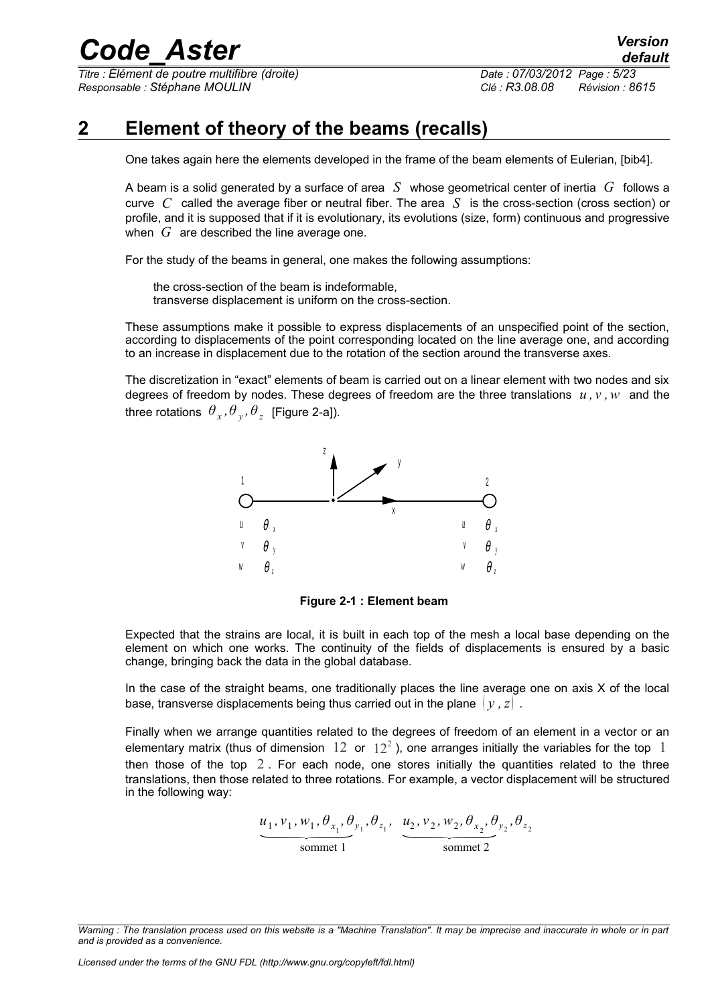*Titre : Élément de poutre multifibre (droite) Date : 07/03/2012 Page : 5/23 Responsable : Stéphane MOULIN Clé : R3.08.08 Révision : 8615*

### **2 Element of theory of the beams (recalls)**

<span id="page-4-0"></span>One takes again here the elements developed in the frame of the beam elements of Eulerian, [bib4].

A beam is a solid generated by a surface of area *S* whose geometrical center of inertia *G* follows a curve *C* called the average fiber or neutral fiber. The area *S* is the cross-section (cross section) or profile, and it is supposed that if it is evolutionary, its evolutions (size, form) continuous and progressive when *G* are described the line average one.

For the study of the beams in general, one makes the following assumptions:

the cross-section of the beam is indeformable, transverse displacement is uniform on the cross-section.

These assumptions make it possible to express displacements of an unspecified point of the section, according to displacements of the point corresponding located on the line average one, and according to an increase in displacement due to the rotation of the section around the transverse axes.

The discretization in "exact" elements of beam is carried out on a linear element with two nodes and six degrees of freedom by nodes. These degrees of freedom are the three translations *u , v ,w* and the three rotations  $\theta_x$ ,  $\theta_y$ ,  $\theta_z$  [Figure 2-a]).



**Figure 2-1 : Element beam**

Expected that the strains are local, it is built in each top of the mesh a local base depending on the element on which one works. The continuity of the fields of displacements is ensured by a basic change, bringing back the data in the global database.

In the case of the straight beams, one traditionally places the line average one on axis  $X$  of the local base, transverse displacements being thus carried out in the plane  $\{v, z\}$ .

Finally when we arrange quantities related to the degrees of freedom of an element in a vector or an elementary matrix (thus of dimension  $12$  or  $12^2$ ), one arranges initially the variables for the top  $1$ then those of the top  $2$ . For each node, one stores initially the quantities related to the three translations, then those related to three rotations. For example, a vector displacement will be structured in the following way:

2. For each node, one stores initially the quantity  
related to three rotations. For example, a vector display  

$$
\underbrace{u_1, v_1, w_1, \theta_{x_1}, \theta_{y_1}, \theta_{z_1}, \dots, \theta_{x_2}, v_2, w_2, \theta_{x_2}, \theta_{y_2}, \theta_{z_2}}_{\text{sommet 1}}
$$

*Warning : The translation process used on this website is a "Machine Translation". It may be imprecise and inaccurate in whole or in part and is provided as a convenience.*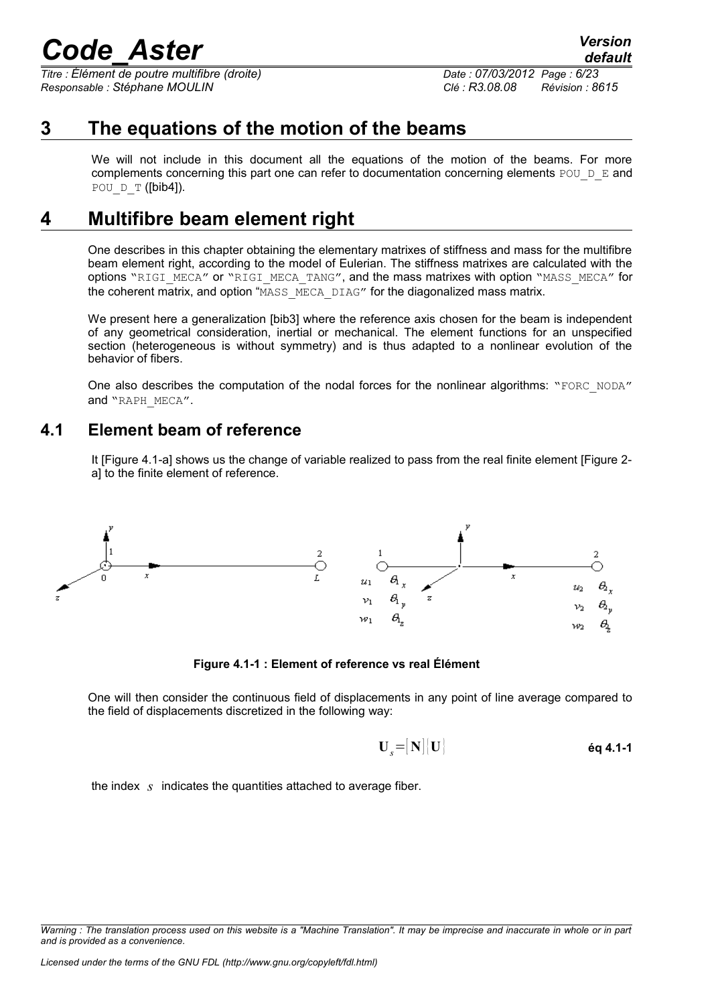*Titre : Élément de poutre multifibre (droite) Date : 07/03/2012 Page : 6/23 Responsable : Stéphane MOULIN Clé : R3.08.08 Révision : 8615*

*default*

### **3 The equations of the motion of the beams**

<span id="page-5-2"></span>We will not include in this document all the equations of the motion of the beams. For more complements concerning this part one can refer to documentation concerning elements POU  $D$  E and POU  $D$  T ([bib4]).

### **4 Multifibre beam element right**

<span id="page-5-1"></span>One describes in this chapter obtaining the elementary matrixes of stiffness and mass for the multifibre beam element right, according to the model of Eulerian. The stiffness matrixes are calculated with the options "RIGI\_MECA" or "RIGI\_MECA\_TANG", and the mass matrixes with option "MASS\_MECA" for the coherent matrix, and option "MASS\_MECA\_DIAG" for the diagonalized mass matrix.

We present here a generalization [bib3] where the reference axis chosen for the beam is independent of any geometrical consideration, inertial or mechanical. The element functions for an unspecified section (heterogeneous is without symmetry) and is thus adapted to a nonlinear evolution of the behavior of fibers.

One also describes the computation of the nodal forces for the nonlinear algorithms: "FORC\_NODA" and "RAPH\_MECA".

### **4.1 Element beam of reference**

<span id="page-5-0"></span>It [Figure 4.1-a] shows us the change of variable realized to pass from the real finite element [Figure 2 a] to the finite element of reference.



**Figure 4.1-1 : Element of reference vs real Élément**

One will then consider the continuous field of displacements in any point of line average compared to the field of displacements discretized in the following way:

$$
\mathbf{U}_{s} = [\mathbf{N}][\mathbf{U}] \qquad \qquad \qquad \qquad \mathbf{eq \ 4.1-1}
$$

the index *s* indicates the quantities attached to average fiber.

*Warning : The translation process used on this website is a "Machine Translation". It may be imprecise and inaccurate in whole or in part and is provided as a convenience.*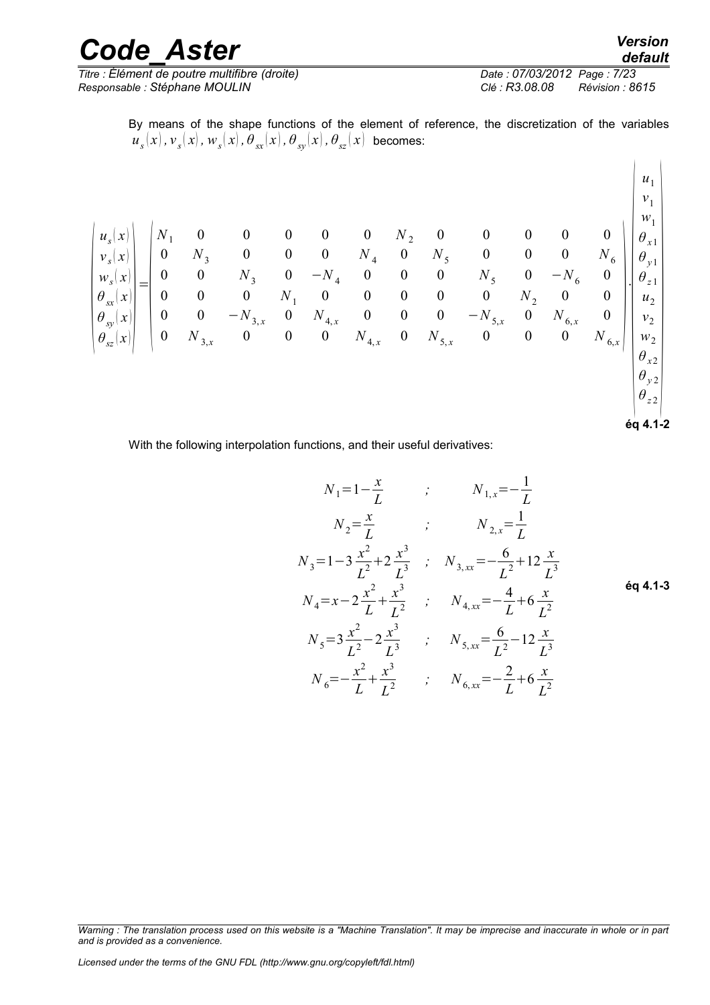| <b>Code Aster</b>                             | <b>Version</b><br>default         |
|-----------------------------------------------|-----------------------------------|
| Titre : Élément de poutre multifibre (droite) | Date: 07/03/2012 Page: 7/23       |
| Responsable : Stéphane MOULIN                 | Clé : R3.08.08<br>Révision : 8615 |

By means of the shape functions of the element of reference, the discretization of the variables  $u_{_S}(x)$  ,  ${\overline v}_{_S}(x)$  ,  ${\overline w}_{_S}(x)$  ,  ${\overline \theta}_{_{S\!X}}(x)$  ,  ${\overline \theta}_{_{S\!Y}}(x)$  ,  ${\overline \theta}_{_{S\!Z}}(x)$  becomes:

$$
\begin{pmatrix} u_s(x) \\ v_s(x) \\ w_s(x) \\ \theta_{sx}(x) \\ \theta_{sx}(x) \\ \theta_{sz}(x) \\ \theta_{sz}(x) \end{pmatrix} = \begin{pmatrix} N_1 & 0 & 0 & 0 & 0 & 0 & N_2 & 0 & 0 & 0 & 0 & 0 \\ 0 & N_3 & 0 & 0 & 0 & N_4 & 0 & N_5 & 0 & 0 & 0 & N_6 \\ 0 & 0 & N_3 & 0 & -N_4 & 0 & 0 & 0 & N_5 & 0 & -N_6 & 0 \\ 0 & 0 & 0 & N_1 & 0 & 0 & 0 & 0 & N_2 & 0 & 0 \\ 0 & 0 & -N_{3,x} & 0 & N_{4,x} & 0 & 0 & 0 & -N_{5,x} & 0 & N_{6,x} & 0 \\ 0 & N_{3,x} & 0 & 0 & 0 & N_{4,x} & 0 & N_{5,x} & 0 & 0 & 0 & N_{6,x} & 0 \\ 0 & N_{3,x} & 0 & 0 & 0 & N_{4,x} & 0 & N_{5,x} & 0 & 0 & 0 & N_{6,x} & N_{6,x} \\ 0 & 0 & 0 & N_{4,x} & 0 & N_{5,x} & 0 & 0 & 0 & N_{6,x} & N_{6,x} \\ 0 & 0 & 0 & 0 & N_{4,x} & 0 & N_{5,x} & 0 & 0 & 0 & N_{6,x} & N_{6,x} \\ 0 & 0 & 0 & 0 & 0 & 0 & 0 & 0 & N_{6,x} & N_{6,x} \\ 0 & 0 & 0 & 0 & 0 & 0 & 0 & 0 & N_{6,x} & N_{6,x} \\ 0 & 0 & 0 & 0 & 0 & 0 & 0 & 0 & N_{6,x} & N_{6,x} \\ 0 & 0 & 0 & 0 & 0 & 0 & 0 & 0 & 0 & N_{6,x} & N_{6,x} \\ 0 & 0 & 0 & 0 & 0 & 0 & 0 & 0 & 0 & N_{6,x} & N_{6,x} \\ 0 & 0 & 0 & 0 & 0 & 0 & 0 & 0 & 0 & N_{6,x} & N_{6,x} \\ 0 & 0 & 0 & 0 & 0 & 0 & 0 & 0 & 0 & 0 & 0 & N_{6,x} & N_{6,x} \\ 0 & 0 & 0 & 0 & 0 & 0 & 0 &
$$

**éq 4.1-2**

 $\mathbf{1}$ 

**éq 4.1-3**

With the following interpolation functions, and their useful derivatives:

$$
N_1 = 1 - \frac{x}{L} \qquad ; \qquad N_{1,x} = -\frac{1}{L}
$$
  
\n
$$
N_2 = \frac{x}{L} \qquad ; \qquad N_{2,x} = \frac{1}{L}
$$
  
\n
$$
N_3 = 1 - 3\frac{x^2}{L^2} + 2\frac{x^3}{L^3} \qquad ; \qquad N_{3,xx} = -\frac{6}{L^2} + 12\frac{x}{L^3}
$$
  
\n
$$
N_4 = x - 2\frac{x^2}{L} + \frac{x^3}{L^2} \qquad ; \qquad N_{4,xx} = -\frac{4}{L} + 6\frac{x}{L^2}
$$
  
\n
$$
N_5 = 3\frac{x^2}{L^2} - 2\frac{x^3}{L^3} \qquad ; \qquad N_{5,xx} = \frac{6}{L^2} - 12\frac{x}{L^3}
$$
  
\n
$$
N_6 = -\frac{x^2}{L} + \frac{x^3}{L^2} \qquad ; \qquad N_{6,xx} = -\frac{2}{L} + 6\frac{x}{L^2}
$$

*Warning : The translation process used on this website is a "Machine Translation". It may be imprecise and inaccurate in whole or in part and is provided as a convenience.*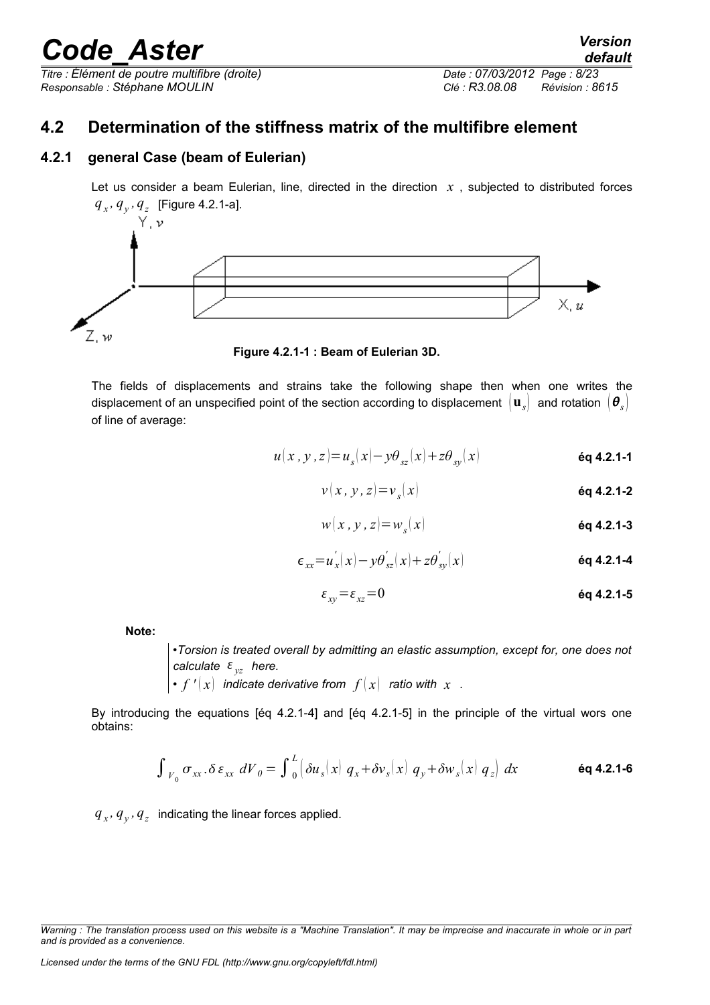*Titre : Élément de poutre multifibre (droite) Date : 07/03/2012 Page : 8/23 Responsable : Stéphane MOULIN Clé : R3.08.08 Révision : 8615*

### <span id="page-7-1"></span>**4.2 Determination of the stiffness matrix of the multifibre element**

#### **4.2.1 general Case (beam of Eulerian)**

<span id="page-7-0"></span>Let us consider a beam Eulerian, line, directed in the direction  $x$ , subjected to distributed forces  $q_x, q_y, q_z$  [Figure 4.2.1-a].



**Figure 4.2.1-1 : Beam of Eulerian 3D.**

The fields of displacements and strains take the following shape then when one writes the displacement of an unspecified point of the section according to displacement  $\mathbf{u}_s$  and rotation  $\mathbf{e}_s$ of line of average:

$$
u(x, y, z) = u_s(x) - y\theta_{sz}(x) + z\theta_{sy}(x)
$$

$$
v(x, y, z) = v_s(x)
$$

$$
w(x, y, z) = w_s(x)
$$
éq 4.2.1-3

$$
\epsilon_{xx} = u_x^{'}(x) - y\theta_{sz}^{'}(x) + z\theta_{sy}^{'}(x)
$$

$$
\varepsilon_{xy} = \varepsilon_{xz} = 0 \tag{6q 4.2.1-5}
$$

**Note:**

•*Torsion is treated overall by admitting an elastic assumption, except for, one does not calculate yz here.*

•  $f'(x)$  indicate derivative from  $f(x)$  ratio with x.

By introducing the equations [éq 4.2.1-4] and [éq 4.2.1-5] in the principle of the virtual wors one obtains:

$$
\int_{V_0} \sigma_{xx} \cdot \delta \varepsilon_{xx} dV_0 = \int_0^L \left( \delta u_s(x) q_x + \delta v_s(x) q_y + \delta w_s(x) q_z \right) dx
$$

 $q_{x}$ ,  $q_{y}$ ,  $q_{z}$  indicating the linear forces applied.

*Warning : The translation process used on this website is a "Machine Translation". It may be imprecise and inaccurate in whole or in part and is provided as a convenience.*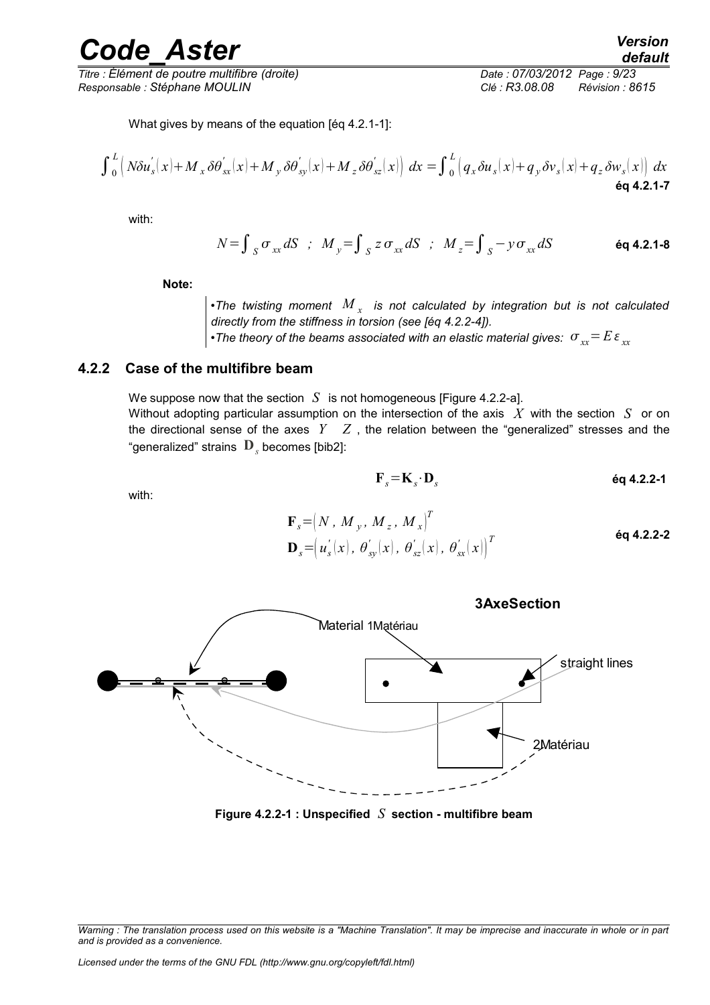*Titre : Élément de poutre multifibre (droite) Date : 07/03/2012 Page : 9/23 Responsable : Stéphane MOULIN Clé : R3.08.08 Révision : 8615*

$$
\int_{0}^{L} \left( N \delta u_s'(x) + M_x \delta \theta_{ss}'(x) + M_y \delta \theta_{sy}'(x) + M_z \delta \theta_{sz}'(x) \right) dx = \int_{0}^{L} \left( q_x \delta u_s(x) + q_y \delta v_s(x) + q_z \delta w_s(x) \right) dx
$$
  
éq 4.2.1-7

with:

 $N = \int_S \sigma_{xx} dS$  ;  $M_y = \int_S z \sigma_{xx} dS$  ;  $M_z = \int_S -y \sigma_{xx}$ *dS* **éq 4.2.1-8**

**Note:** 

 $\bullet$ The twisting moment  $\left. M_{_{X}}\right.$  is not calculated by integration but is not calculated *directly from the stiffness in torsion (see [éq 4.2.2-4]).*

•The theory of the beams associated with an elastic material gives:  $\sigma_{xx}$ =  $E\,\varepsilon_{xx}$ 

#### **4.2.2 Case of the multifibre beam**

<span id="page-8-0"></span>We suppose now that the section  $S$  is not homogeneous [Figure 4.2.2-a]. Without adopting particular assumption on the intersection of the axis *X* with the section *S* or on the directional sense of the axes *Y Z* , the relation between the "generalized" stresses and the "generalized" strains  $\left[\mathbf{D}\right]_s$  becomes [bib2]:

 $\mathbf{F}_s = \mathbf{K}_s \cdot \mathbf{D}_s$ 

with:

*and is provided as a convenience.*

$$
\mathbf{F}_s = \begin{pmatrix} N & N_y & M_z & M_x \end{pmatrix}^T
$$
  

$$
\mathbf{D}_s = \begin{pmatrix} u_s'(x) & \theta_{sy}'(x) & \theta_{sz}'(x) & \theta_{sx}'(x) \end{pmatrix}^T
$$



**Figure 4.2.2-1 : Unspecified** *S* **section - multifibre beam**

*Warning : The translation process used on this website is a "Machine Translation". It may be imprecise and inaccurate in whole or in part*

**éq 4.2.2-1**

**<sup>3</sup>AxeSection**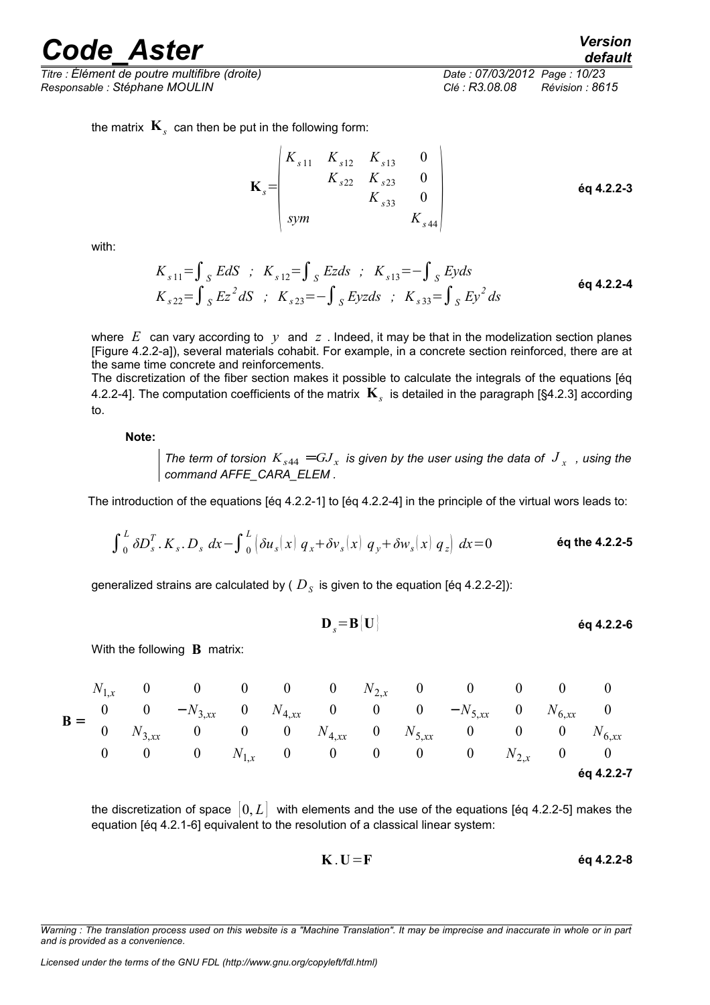*Titre : Élément de poutre multifibre (droite) Date : 07/03/2012 Page : 10/23 Responsable : Stéphane MOULIN Clé : R3.08.08 Révision : 8615*

*default*

the matrix  $\mathbf{K}_s^+$  can then be put in the following form:

$$
\mathbf{K}_{s} = \begin{pmatrix} K_{s11} & K_{s12} & K_{s13} & 0 \\ K_{s22} & K_{s23} & 0 \\ K_{s33} & 0 & K_{s44} \end{pmatrix}
$$
 6q 4.2.2-3

with:

$$
K_{s11} = \int_{S} EdS \; ; \; K_{s12} = \int_{S} Ezds \; ; \; K_{s13} = -\int_{S} Eyds
$$
  
\n
$$
K_{s22} = \int_{S} Ez^2 dS \; ; \; K_{s23} = -\int_{S} Eyzds \; ; \; K_{s33} = \int_{S} Ey^2 ds
$$

where  $E$  can vary according to  $y$  and  $z$ . Indeed, it may be that in the modelization section planes [Figure 4.2.2-a]), several materials cohabit. For example, in a concrete section reinforced, there are at the same time concrete and reinforcements.

The discretization of the fiber section makes it possible to calculate the integrals of the equations [éq 4.2.2-4]. The computation coefficients of the matrix **K***<sup>s</sup>* is detailed in the paragraph [§4.2.3] according to.

**Note:**

*The term of torsion*  $K_{s44} = GJ_x$  *is given by the user using the data of*  $J_x$  *, using the command AFFE\_CARA\_ELEM .*

The introduction of the equations [éq 4.2.2-1] to [éq 4.2.2-4] in the principle of the virtual wors leads to:

$$
\int_0^L \delta D_s^T . K_s . D_s dx - \int_0^L \left( \delta u_s(x) q_x + \delta v_s(x) q_y + \delta w_s(x) q_z \right) dx = 0
$$

generalized strains are calculated by (  $D_{\scriptscriptstyle S}$  is given to the equation [éq 4.2.2-2]):

$$
\mathbf{D}_{s} = \mathbf{B} | \mathbf{U} |
$$

With the following **B** matrix:

$$
\mathbf{B} = \begin{bmatrix} N_{1,x} & 0 & 0 & 0 & 0 & 0 & N_{2,x} & 0 & 0 & 0 & 0 & 0\\ 0 & 0 & -N_{3,xx} & 0 & N_{4,xx} & 0 & 0 & 0 & -N_{5,xx} & 0 & N_{6,xx} & 0\\ 0 & N_{3,xx} & 0 & 0 & 0 & N_{4,xx} & 0 & N_{5,xx} & 0 & 0 & 0 & N_{6,xx}\\ 0 & 0 & 0 & N_{1,x} & 0 & 0 & 0 & 0 & N_{2,x} & 0 & 0 \end{bmatrix}
$$
  
éq 4.2.2-7

the discretization of space  $[0, L]$  with elements and the use of the equations [eq 4.2.2-5] makes the equation [éq 4.2.1-6] equivalent to the resolution of a classical linear system:

$$
K \tI = F \t\t\t\t\t\mathbf{6q} \t4.2.2-8
$$

*Warning : The translation process used on this website is a "Machine Translation". It may be imprecise and inaccurate in whole or in part and is provided as a convenience.*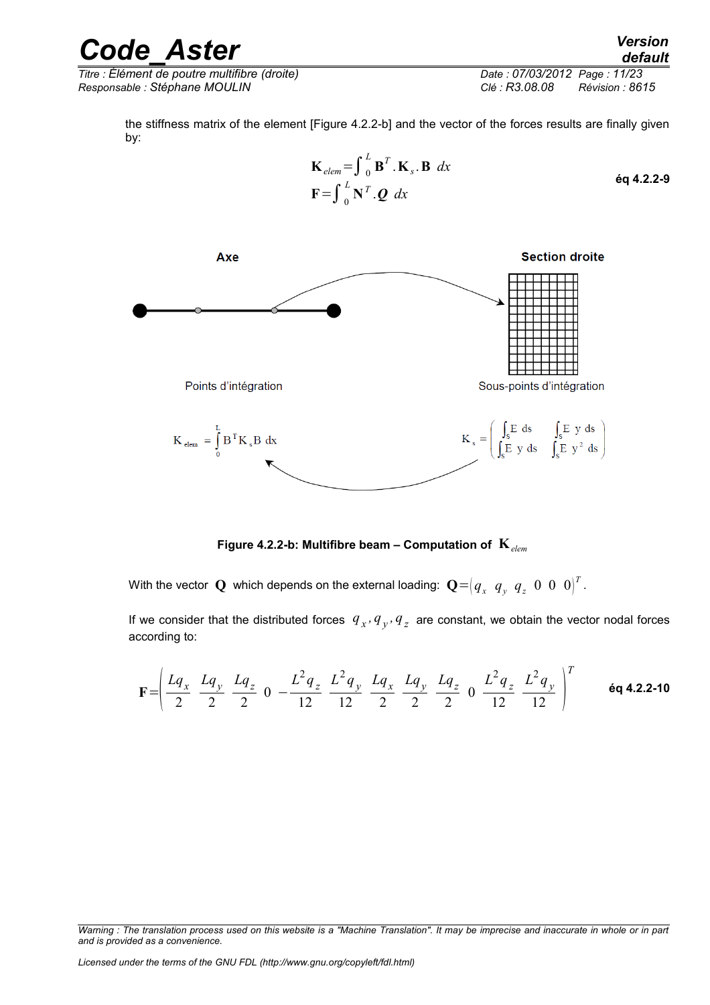| <b>Code Aster</b>                             | <b>Version</b><br>default         |
|-----------------------------------------------|-----------------------------------|
| Titre : Élément de poutre multifibre (droite) | Date: 07/03/2012 Page: 11/23      |
| Responsable : Stéphane MOULIN                 | Clé : R3.08.08<br>Révision : 8615 |

the stiffness matrix of the element [Figure 4.2.2-b] and the vector of the forces results are finally given by:



**Figure 4.2.2-b: Multifibre beam – Computation of K***elem*

With the vector  $\mathbf Q$  which depends on the external loading:  $\mathbf Q\!=\!\left(q_x\!\! \enskip q_y\!\! \enskip q_z\!\! \enskip 0\!\! \enskip 0\!\! \enskip 0\!\! \enskip 0\!\! \enskip 0\!\! \enskip ^T$  .

If we consider that the distributed forces  $|q_{x}$ ,  $q_{y}$ ,  $q_{z}$  are constant, we obtain the vector nodal forces according to:

$$
\mathbf{F} = \left( \frac{Lq_x}{2} - \frac{Lq_y}{2} + \frac{Lq_z}{2} - 0 \right) - \frac{L^2q_z}{12} - \frac{L^2q_y}{12} - \frac{Lq_x}{2} - \frac{Lq_y}{2} - \frac{Lq_z}{2} - \frac{L^2q_z}{12} - \frac{L^2q_y}{12} \right)^T
$$

*Warning : The translation process used on this website is a "Machine Translation". It may be imprecise and inaccurate in whole or in part and is provided as a convenience.*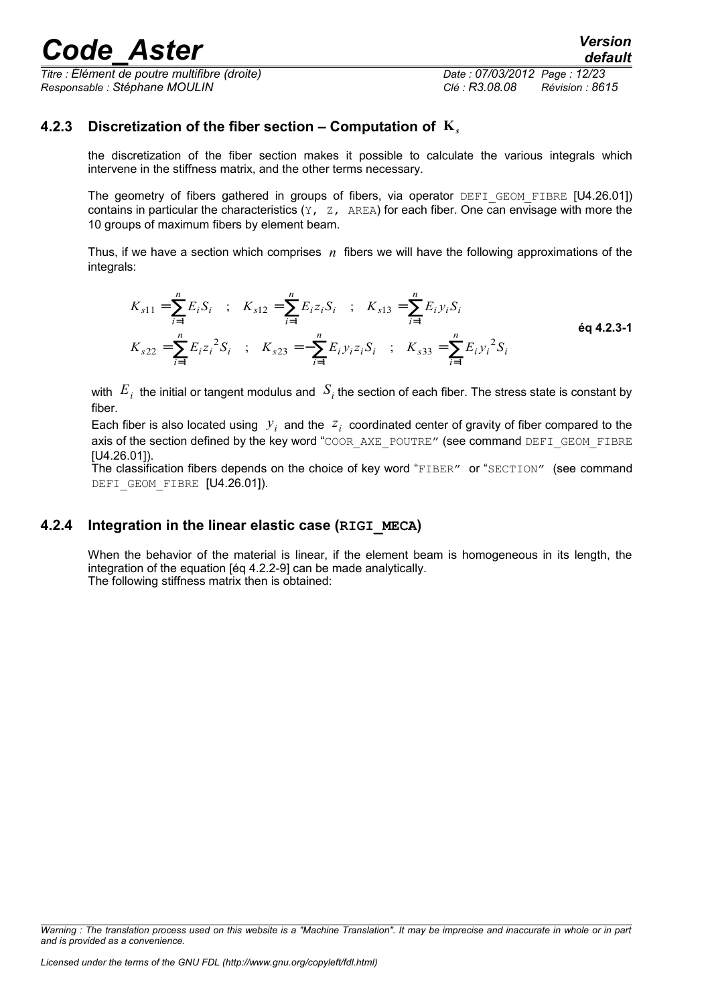*Titre : Élément de poutre multifibre (droite) Date : 07/03/2012 Page : 12/23 Responsable : Stéphane MOULIN Clé : R3.08.08 Révision : 8615*

#### **4.2.3 Discretization of the fiber section – Computation of K***<sup>s</sup>*

<span id="page-11-1"></span>the discretization of the fiber section makes it possible to calculate the various integrals which intervene in the stiffness matrix, and the other terms necessary.

The geometry of fibers gathered in groups of fibers, via operator DEFI GEOM FIBRE [U4.26.01]) contains in particular the characteristics  $(Y, Z, A\text{REA})$  for each fiber. One can envisage with more the 10 groups of maximum fibers by element beam.

Thus, if we have a section which comprises *n* fibers we will have the following approximations of the integrals:

$$
K_{s11} = \sum_{i=1}^{n} E_i S_i \quad ; \quad K_{s12} = \sum_{i=1}^{n} E_i z_i S_i \quad ; \quad K_{s13} = \sum_{i=1}^{n} E_i y_i S_i
$$
  
\n
$$
K_{s22} = \sum_{i=1}^{n} E_i z_i^2 S_i \quad ; \quad K_{s23} = -\sum_{i=1}^{n} E_i y_i z_i S_i \quad ; \quad K_{s33} = \sum_{i=1}^{n} E_i y_i^2 S_i
$$
  
\n
$$
\text{6q 4.2.3-1}
$$

with  $|E_{\,i}|$  the initial or tangent modulus and  $|S_{i}|$  the section of each fiber. The stress state is constant by fiber.

Each fiber is also located using  $y_i$  and the  $z_i$  coordinated center of gravity of fiber compared to the axis of the section defined by the key word "COOR AXE\_POUTRE" (see command DEFI\_GEOM\_FIBRE [U4.26.01]).

The classification fibers depends on the choice of key word "FIBER" or "SECTION" (see command DEFI GEOM FIBRE [U4.26.01]).

#### **4.2.4 Integration in the linear elastic case (RIGI\_MECA)**

<span id="page-11-0"></span>When the behavior of the material is linear, if the element beam is homogeneous in its length, the integration of the equation [éq 4.2.2-9] can be made analytically. The following stiffness matrix then is obtained:

*Warning : The translation process used on this website is a "Machine Translation". It may be imprecise and inaccurate in whole or in part and is provided as a convenience.*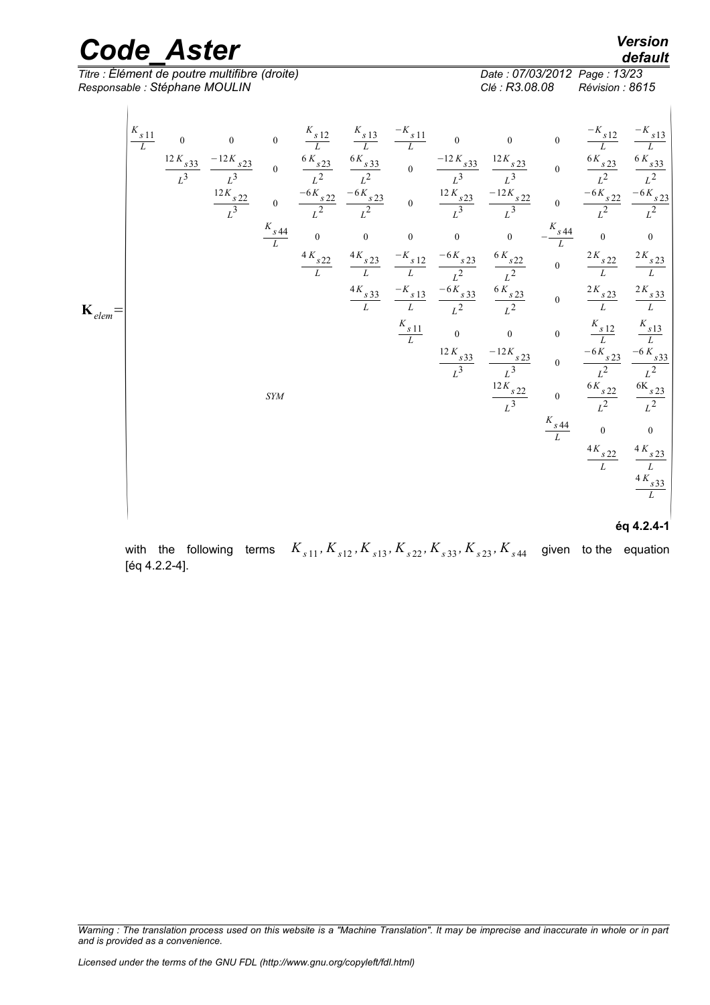*Titre : Élément de poutre multifibre (droite) Date : 07/03/2012 Date : 07/03/2012 Page : 07/03/2012 Page : 3.08.08 Responsable : Stéphane MOULIN Clé : R3.08.08 Révision : 8615*

*default*<br>Date : 07/03/2012 Page : 13/23

with the following terms  $K_{s11}$ ,  $K_{s12}$ ,  $K_{s13}$ ,  $K_{s22}$ ,  $K_{s33}$ ,  $K_{s23}$ ,  $K_{s44}$  given to the equation [éq 4.2.2-4].

*Warning : The translation process used on this website is a "Machine Translation". It may be imprecise and inaccurate in whole or in part and is provided as a convenience.*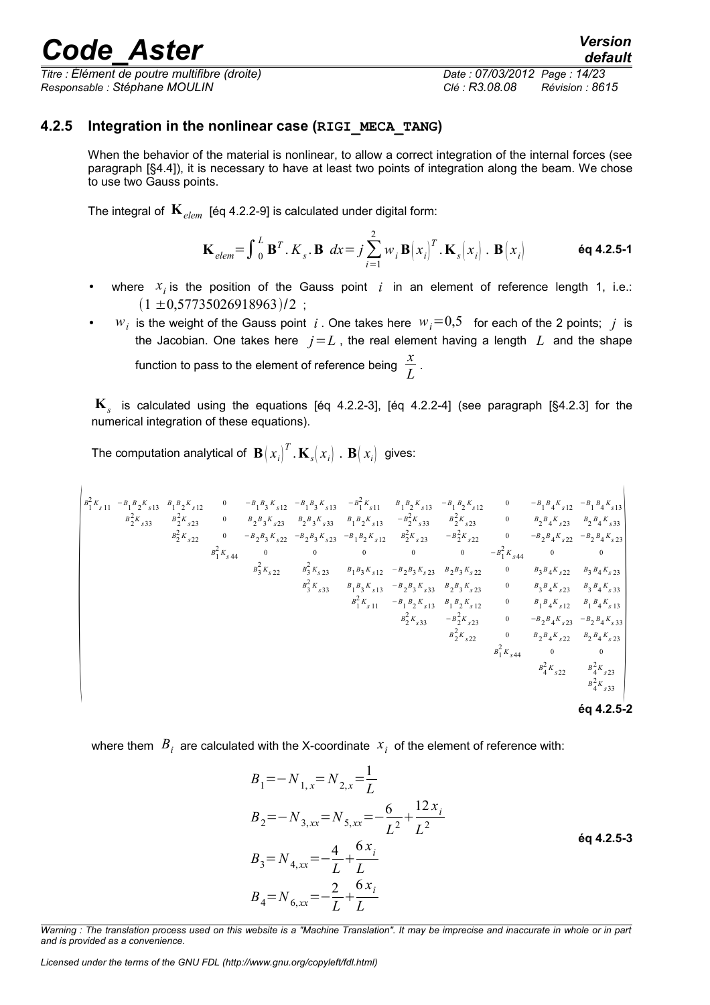*Titre : Élément de poutre multifibre (droite) Date : 07/03/2012 Page : 14/23 Responsable : Stéphane MOULIN Clé : R3.08.08 Révision : 8615*

#### **4.2.5 Integration in the nonlinear case (RIGI\_MECA\_TANG)**

<span id="page-13-0"></span>When the behavior of the material is nonlinear, to allow a correct integration of the internal forces (see paragraph [§4.4]), it is necessary to have at least two points of integration along the beam. We chose to use two Gauss points.

The integral of  $\mathbf{K}_{elem}$  [éq 4.2.2-9] is calculated under digital form:

$$
\mathbf{K}_{elem} = \int_{0}^{L} \mathbf{B}^{T} \cdot K_{s} \cdot \mathbf{B} \, dx = j \sum_{i=1}^{2} w_{i} \mathbf{B} (x_{i})^{T} \cdot \mathbf{K}_{s} (x_{i}) \cdot \mathbf{B} (x_{i}) \qquad \text{6q 4.2.5-1}
$$

- where  $x_i$  is the position of the Gauss point  $i$  in an element of reference length 1, i.e.:  $(1 \pm 0.57735026918963)/2$ ;
- $w_i$  is the weight of the Gauss point *i*. One takes here  $w_i = 0.5$  for each of the 2 points; *j* is the Jacobian. One takes here  $j = L$ , the real element having a length  $L$  and the shape function to pass to the element of reference being  $\frac{x}{\tau}$  $\frac{\pi}{L}$ .

**K***s* is calculated using the equations [éq 4.2.2-3], [éq 4.2.2-4] (see paragraph [§4.2.3] for the numerical integration of these equations).

The computation analytical of  $\mathbf{B}\!\left(x_i\right)^T$  .  $\mathbf{K}_s\!\left(x_i\right)$  .  $\mathbf{B}\!\left(x_i\right)$  gives:

$$
\begin{vmatrix}\na_1^2 K_{s11} & -B_1 B_2 K_{s12} & 0 & -B_1 B_3 K_{s12} & -B_1 B_3 K_{s13} & -B_1^2 K_{s11} & B_1 B_2 K_{s13} & -B_1 B_2 K_{s12} & 0 & -B_1 B_4 K_{s12} & -B_1 B_4 K_{s13} \\
a_2^2 K_{s23} & a_2^2 K_{s23} & 0 & a_2 B_3 K_{s23} & B_2 B_3 K_{s23} & -B_1 B_2 K_{s13} & -B_2^2 K_{s23} & 0 & B_2 B_4 K_{s23} & B_2 B_4 K_{s23} \\
a_2^2 K_{s22} & 0 & -B_2 B_3 K_{s22} & -B_2 B_3 K_{s23} & -B_1 B_2 K_{s12} & B_2^2 K_{s23} & -B_2^2 K_{s22} & 0 & -B_2 B_4 K_{s23} \\
a_1^2 K_{s4} & 0 & 0 & 0 & 0 & 0 & 0 & -B_1^2 K_{s44} & 0 & 0 \\
a_3^2 K_{s22} & a_3^2 K_{s22} & a_3^2 K_{s23} & B_1 B_3 K_{s12} & -B_2 B_3 K_{s23} & B_2 B_3 K_{s22} & 0 & B_3 B_4 K_{s23} & B_3 B_4 K_{s23} \\
a_3^2 K_{s33} & a_1 B_3 K_{s13} & -B_2 B_3 K_{s33} & B_2 B_3 K_{s23} & 0 & B_3 B_4 K_{s23} & B_3 B_4 K_{s33} \\
a_1^2 K_{s11} & -B_1 B_2 K_{s13} & B_1 B_2 K_{s12} & 0 & B_1 B_4 K_{s12} & B_1 B_4 K_{s13} \\
a_2^2 K_{s33} & -a_2^2 K_{s23} & 0 & -B_2 B_4 K_{s23} & B_3 B_4 K_{s23} \\
a_2^2 K_{s23} & 0 & -B_2 B_4 K_{s23} & B_3 B_4 K_{s23} \\
a_2^2 K_{s33} & a_2^2 K_{
$$

where them  $\ B_i^+$  are calculated with the X-coordinate  $\ x_i^+$  of the element of reference with:

$$
B_1 = -N_{1,x} = N_{2,x} = \frac{1}{L}
$$
  
\n
$$
B_2 = -N_{3,xx} = N_{5,xx} = -\frac{6}{L^2} + \frac{12x_i}{L^2}
$$
  
\n
$$
B_3 = N_{4,xx} = -\frac{4}{L} + \frac{6x_i}{L}
$$
  
\n
$$
B_4 = N_{6,xx} = -\frac{2}{L} + \frac{6x_i}{L}
$$
  
\n
$$
(6a + 2.5-3)
$$

*Warning : The translation process used on this website is a "Machine Translation". It may be imprecise and inaccurate in whole or in part and is provided as a convenience.*

*Licensed under the terms of the GNU FDL (http://www.gnu.org/copyleft/fdl.html)*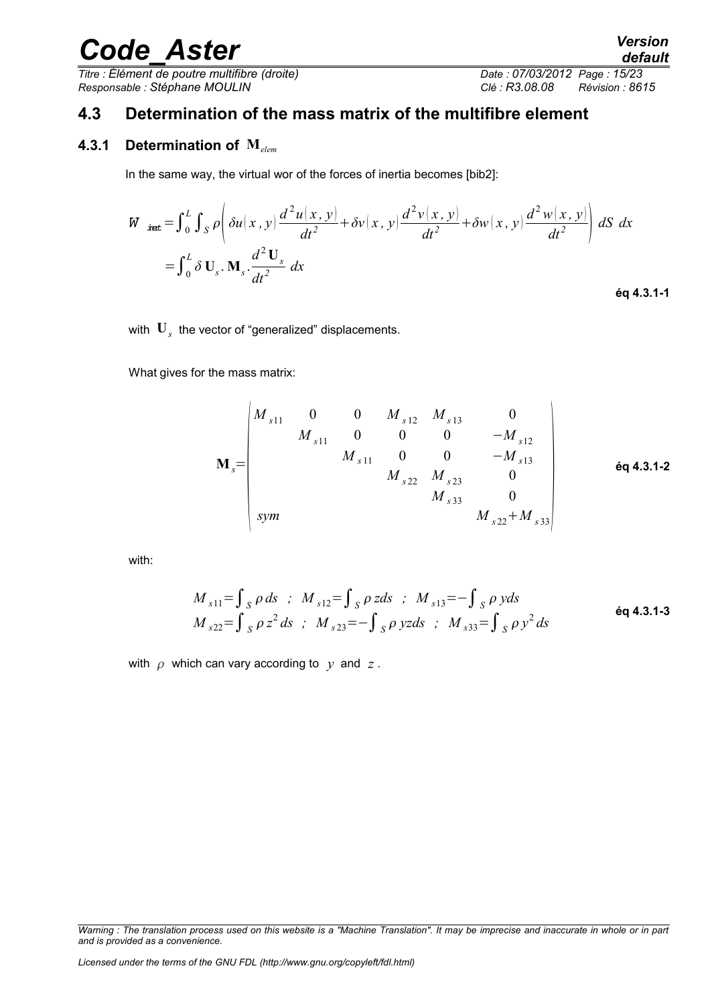*Titre : Élément de poutre multifibre (droite) Date : 07/03/2012 Page : 15/23 Responsable : Stéphane MOULIN Clé : R3.08.08 Révision : 8615*

### <span id="page-14-1"></span>**4.3 Determination of the mass matrix of the multifibre element**

#### **4.3.1 Determination of M***elem*

<span id="page-14-0"></span>In the same way, the virtual wor of the forces of inertia becomes [bib2]:

$$
\begin{split} W_{\text{int}} &= \int_{0}^{L} \int_{S} \rho \left( \delta u(x, y) \frac{d^{2} u(x, y)}{dt^{2}} + \delta v(x, y) \frac{d^{2} v(x, y)}{dt^{2}} + \delta w(x, y) \frac{d^{2} w(x, y)}{dt^{2}} \right) dS \, dx \\ &= \int_{0}^{L} \delta \, \mathbf{U}_{s} \cdot \mathbf{M}_{s} \cdot \frac{d^{2} \, \mathbf{U}_{s}}{dt^{2}} \, dx \end{split}
$$
\n6q 4.3.1-1

with  $\mathbf{U}_s^{\phantom{\dag}}$  the vector of "generalized" displacements.

 $\overline{1}$ 

What gives for the mass matrix:

$$
\mathbf{M}_{s} = \begin{pmatrix}\nM_{s11} & 0 & 0 & M_{s12} & M_{s13} & 0 \\
M_{s11} & 0 & 0 & 0 & -M_{s12} \\
M_{s11} & 0 & 0 & -M_{s13} \\
M_{s22} & M_{s23} & 0 & M_{s33} \\
M_{s33} & 0 & M_{s22} + M_{s33}\n\end{pmatrix}
$$

with:

$$
M_{s11} = \int_{S} \rho \, ds \quad ; \quad M_{s12} = \int_{S} \rho \, zds \quad ; \quad M_{s13} = -\int_{S} \rho \, yds
$$
  

$$
M_{s22} = \int_{S} \rho \, z^2 \, ds \quad ; \quad M_{s23} = -\int_{S} \rho \, yzds \quad ; \quad M_{s33} = \int_{S} \rho \, y^2 \, ds
$$

with  $\rho$  which can vary according to  $\gamma$  and  $z$ .

*Warning : The translation process used on this website is a "Machine Translation". It may be imprecise and inaccurate in whole or in part and is provided as a convenience.*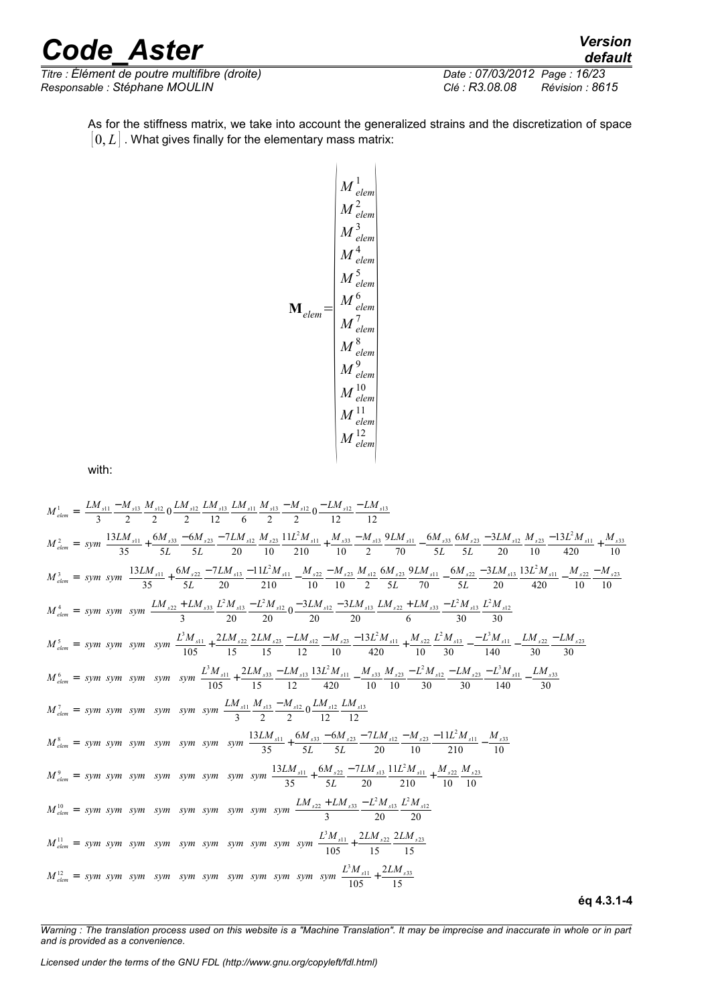*Titre : Élément de poutre multifibre (droite) Date : 07/03/2012 Date : 07/03/2012 Date : 07/03/2012 Responsable : Stéphane MOULIN Clé : R3.08.08 Révision : 8615*

*default*<br>Date : 07/03/2012 Page : 16/23

As for the stiffness matrix, we take into account the generalized strains and the discretization of space  $[0, L]$ . What gives finally for the elementary mass matrix:

$$
\mathbf{M} \frac{1}{\mu} \frac{1}{2}
$$
\n
$$
M \frac{1}{e \text{lem}}
$$
\n
$$
M \frac{3}{e \text{lem}}
$$
\n
$$
M \frac{4}{e \text{lem}}
$$
\n
$$
M \frac{5}{e \text{lem}}
$$
\n
$$
M \frac{7}{e \text{lem}}
$$
\n
$$
M \frac{8}{e \text{lem}}
$$
\n
$$
M \frac{8}{e \text{lem}}
$$
\n
$$
M \frac{10}{e \text{lem}}
$$
\n
$$
M \frac{11}{e \text{lem}}
$$
\n
$$
M \frac{12}{e \text{lem}}
$$

with:

$$
M_{\text{dem}}^1 = \left[\frac{LM_{s11}}{3} - \frac{M_{s12}}{2} + \frac{LM_{s12}}{2} + \frac{LM_{s12}}{2} + \frac{LM_{s12}}{6} + \frac{M_{s12}}{2} - \frac{LM_{s12}}{2} - \frac{L M_{s12}}{12} - \frac{LM_{s12}}{12} - \frac{LM_{s12}}{12} - \frac{LM_{s12}}{12} - \frac{LM_{s12}}{12} - \frac{LM_{s12}}{12} + \frac{M_{s12}}{12} - \frac{LM_{s12}}{12} + \frac{M_{s12}}{12} - \frac{M_{s12}}{12} - \frac{M_{s12}}{12} - \frac{M_{s12}}{12} - \frac{M_{s12}}{12} - \frac{M_{s12}}{12} - \frac{M_{s12}}{12} - \frac{M_{s12}}{12} - \frac{M_{s12}}{12} - \frac{M_{s12}}{12} - \frac{M_{s12}}{12} - \frac{M_{s12}}{12} - \frac{M_{s12}}{12} - \frac{M_{s12}}{12} - \frac{M_{s12}}{12} - \frac{M_{s12}}{12} - \frac{M_{s12}}{12} - \frac{M_{s22}}{12} - \frac{M_{s22}}{12} - \frac{M_{s22}}{12} - \frac{M_{s22}}{12} - \frac{M_{s22}}{12} - \frac{M_{s22}}{12} - \frac{M_{s22}}{12} - \frac{M_{s22}}{12} - \frac{M_{s22}}{12} - \frac{M_{s12}}{12} - \frac{M_{s12}}{12} - \frac{M_{s12}}{12} - \frac{M_{s12}}{12} - \frac{M_{s12}}{12} - \frac{M_{s12}}{12} - \frac{M_{s12}}{12} - \frac{M_{s12}}{12} - \frac{M_{s12}}{12} - \frac{M_{s12}}{12} - \frac{M_{s12}}{12} - \frac{M_{s12}}{12} - \frac{M_{s12}}{1
$$

**éq 4.3.1-4**

*Warning : The translation process used on this website is a "Machine Translation". It may be imprecise and inaccurate in whole or in part and is provided as a convenience.*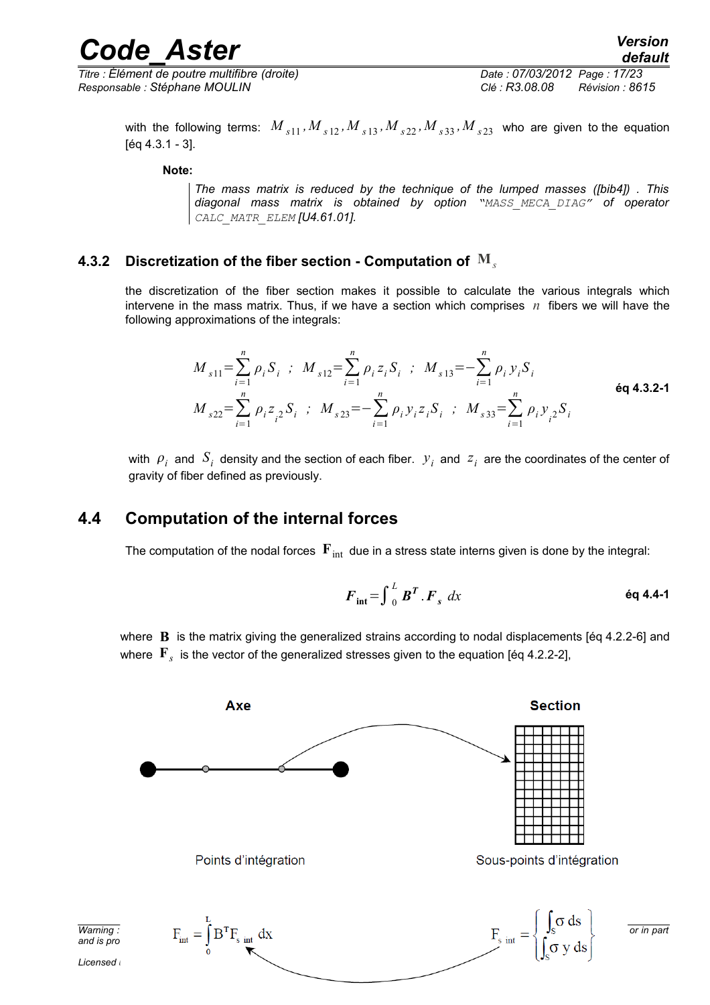*Titre : Élément de poutre multifibre (droite) Date : 07/03/2012 Page : 17/23 Responsable : Stéphane MOULIN Clé : R3.08.08 Révision : 8615*

with the following terms:  $M_{s11}$ ,  $M_{s12}$ ,  $M_{s13}$ ,  $M_{s22}$ ,  $M_{s33}$ ,  $M_{s23}$  who are given to the equation [éq 4.3.1 - 3].

**Note:**

*The mass matrix is reduced by the technique of the lumped masses ([bib4]) . This diagonal mass matrix is obtained by option "MASS\_MECA\_DIAG" of operator CALC\_MATR\_ELEM [U4.61.01].*

#### **4.3.2 Discretization of the fiber section - Computation of M***<sup>s</sup>*

<span id="page-16-1"></span>the discretization of the fiber section makes it possible to calculate the various integrals which intervene in the mass matrix. Thus, if we have a section which comprises  $n$  fibers we will have the following approximations of the integrals:

$$
M_{s11} = \sum_{i=1}^{n} \rho_i S_i \; ; \; M_{s12} = \sum_{i=1}^{n} \rho_i z_i S_i \; ; \; M_{s13} = -\sum_{i=1}^{n} \rho_i y_i S_i
$$
  

$$
M_{s22} = \sum_{i=1}^{n} \rho_i z_i S_i \; ; \; M_{s23} = -\sum_{i=1}^{n} \rho_i y_i z_i S_i \; ; \; M_{s33} = \sum_{i=1}^{n} \rho_i y_i^2 S_i
$$

with  $\rho_i$  and  $S_i$  density and the section of each fiber.  ${\color{black} y_i}$  and  ${\color{black} z_i}$  are the coordinates of the center of gravity of fiber defined as previously.

### **4.4 Computation of the internal forces**

<span id="page-16-0"></span>The computation of the nodal forces  $\mathbf{F}_{\text{int}}$  due in a stress state interns given is done by the integral:

$$
F_{\text{int}} = \int_{0}^{L} \mathbf{B}^{T} \cdot \mathbf{F}_{s} dx
$$

where **B** is the matrix giving the generalized strains according to nodal displacements [éq 4.2.2-6] and where **F***<sup>s</sup>* is the vector of the generalized stresses given to the equation [éq 4.2.2-2],

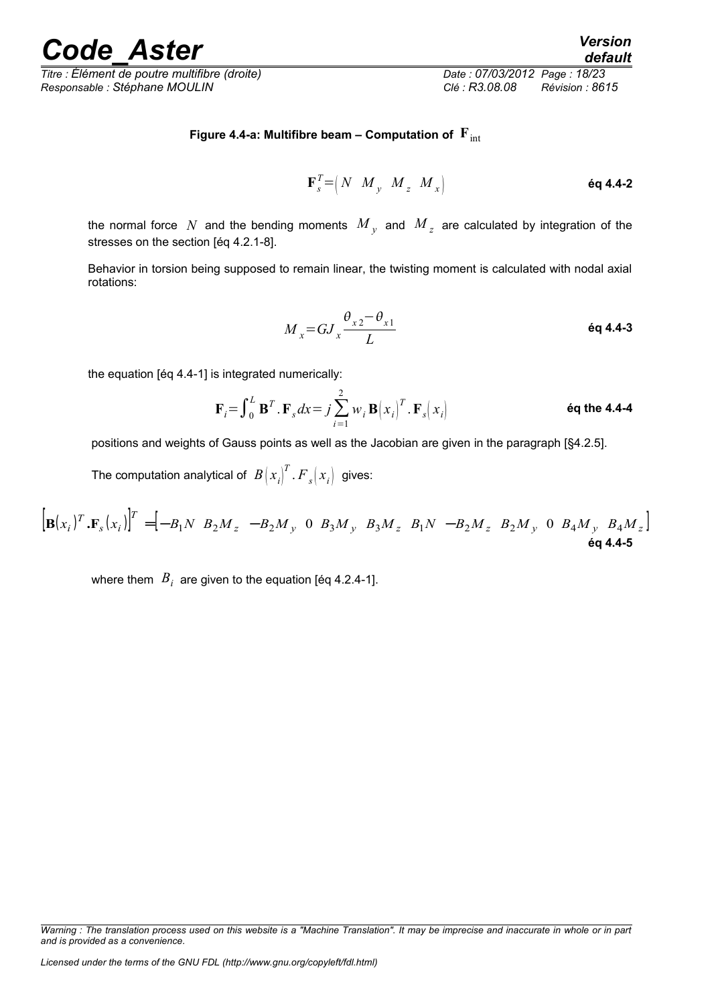*Titre : Élément de poutre multifibre (droite) Date : 07/03/2012 Page : 18/23 Responsable : Stéphane MOULIN Clé : R3.08.08 Révision : 8615*

#### **Figure 4.4-a: Multifibre beam – Computation of**  $\mathbf{F}_{int}$

$$
\mathbf{F}_s^T = \begin{pmatrix} N & M_y & M_z & M_x \end{pmatrix}
$$

the normal force  $N$  and the bending moments  $\overline{M}_{y}$  and  $\overline{M}_{z}$  are calculated by integration of the stresses on the section [éq 4.2.1-8].

Behavior in torsion being supposed to remain linear, the twisting moment is calculated with nodal axial rotations:

$$
M_x = G J_x \frac{\theta_{x2} - \theta_{x1}}{L}
$$

the equation [éq 4.4-1] is integrated numerically:

$$
\mathbf{F}_{i} = \int_{0}^{L} \mathbf{B}^{T} \cdot \mathbf{F}_{s} dx = j \sum_{i=1}^{2} w_{i} \mathbf{B} (x_{i})^{T} \cdot \mathbf{F}_{s} (x_{i})
$$

positions and weights of Gauss points as well as the Jacobian are given in the paragraph [§4.2.5].

The computation analytical of  $\left. B \! \left( x_i \right)^{\!T}$  .  $\! F \! \left. _{\mathit{s}} \! \left( x_i \right) \right.$  gives:

$$
\left[\mathbf{B}(x_i)^T \cdot \mathbf{F}_s(x_i)\right]^T = \left[-B_1 N \ B_2 M_z \ -B_2 M_y \ 0 \ B_3 M_y \ B_3 M_z \ B_1 N \ -B_2 M_z \ B_2 M_y \ 0 \ B_4 M_y \ B_4 M_z\right]
$$
\n
$$
\mathbf{eq \ 4.4-5}
$$

where them  $\,B_{i}\,$  are given to the equation [éq 4.2.4-1].

*Warning : The translation process used on this website is a "Machine Translation". It may be imprecise and inaccurate in whole or in part and is provided as a convenience.*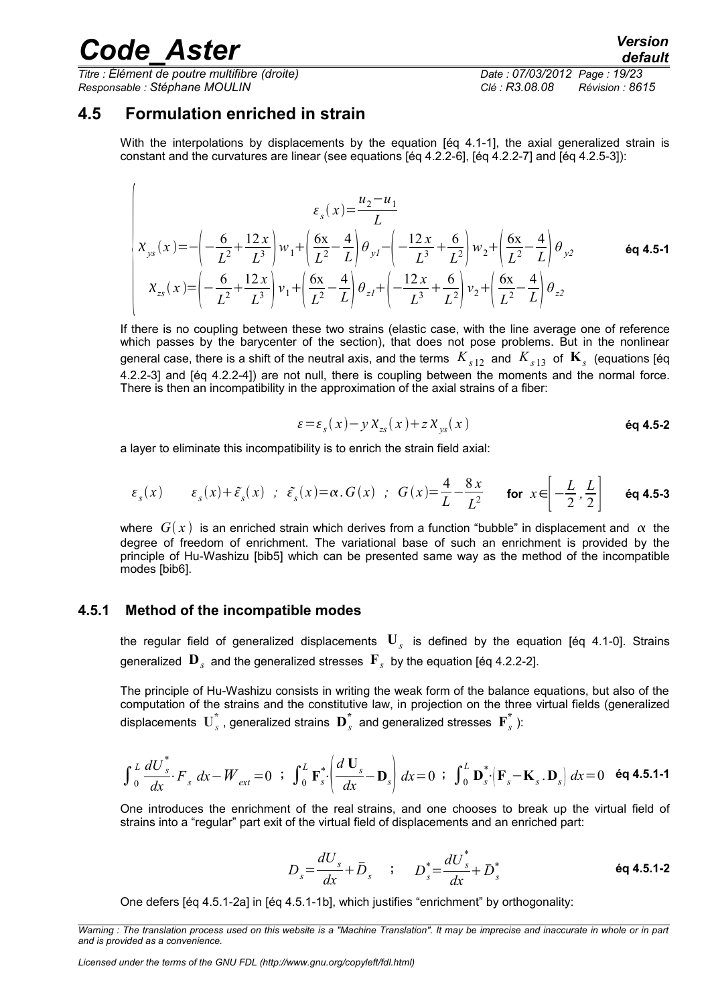$\overline{1}$ 

*Titre : Élément de poutre multifibre (droite) Date : 07/03/2012 Page : 19/23 Responsable : Stéphane MOULIN Clé : R3.08.08 Révision : 8615*

### **4.5 Formulation enriched in strain**

<span id="page-18-1"></span>With the interpolations by displacements by the equation [eq 4.1-1], the axial generalized strain is constant and the curvatures are linear (see equations [éq 4.2.2-6], [éq 4.2.2-7] and [éq 4.2.5-3]):

$$
\varepsilon_{s}(x) = \frac{u_{2} - u_{1}}{L}
$$
\n
$$
\chi_{ys}(x) = -\left(-\frac{6}{L^{2}} + \frac{12x}{L^{3}}\right)w_{1} + \left(\frac{6x}{L^{2}} - \frac{4}{L}\right)\theta_{yI} - \left(-\frac{12x}{L^{3}} + \frac{6}{L^{2}}\right)w_{2} + \left(\frac{6x}{L^{2}} - \frac{4}{L}\right)\theta_{y2}
$$
\n
$$
\varepsilon_{s}(x) = \left(-\frac{6}{L^{2}} + \frac{12x}{L^{3}}\right)v_{1} + \left(\frac{6x}{L^{2}} - \frac{4}{L}\right)\theta_{zI} + \left(-\frac{12x}{L^{3}} + \frac{6}{L^{2}}\right)v_{2} + \left(\frac{6x}{L^{2}} - \frac{4}{L}\right)\theta_{z2}
$$
\n
$$
\varepsilon_{s}(x) = \left(-\frac{6}{L^{2}} + \frac{12x}{L^{3}}\right)v_{1} + \left(\frac{6x}{L^{2}} - \frac{4}{L}\right)\theta_{zI} + \left(-\frac{12x}{L^{3}} + \frac{6}{L^{2}}\right)v_{2} + \left(\frac{6x}{L^{2}} - \frac{4}{L}\right)\theta_{z2}
$$

If there is no coupling between these two strains (elastic case, with the line average one of reference which passes by the barycenter of the section), that does not pose problems. But in the nonlinear general case, there is a shift of the neutral axis, and the terms  $\,K_{s\,12}\,$  and  $\,K_{s\,13}\,$  of  $\, {\bf K}_s \,$  (equations [éq 4.2.2-3] and [éq 4.2.2-4]) are not null, there is coupling between the moments and the normal force. There is then an incompatibility in the approximation of the axial strains of a fiber:

$$
\varepsilon = \varepsilon_{s}(x) - y X_{zs}(x) + z X_{ys}(x)
$$
éq 4.5-2

a layer to eliminate this incompatibility is to enrich the strain field axial:

$$
\varepsilon_s(x) \qquad \varepsilon_s(x) + \tilde{\varepsilon}_s(x) \quad ; \quad \tilde{\varepsilon}_s(x) = \alpha \cdot G(x) \quad ; \quad G(x) = \frac{4}{L} - \frac{8x}{L^2} \qquad \text{for} \quad x \in \left[ -\frac{L}{2}, \frac{L}{2} \right] \qquad \text{éq 4.5-3}
$$

where  $G(x)$  is an enriched strain which derives from a function "bubble" in displacement and  $\alpha$  the degree of freedom of enrichment. The variational base of such an enrichment is provided by the principle of Hu-Washizu [bib5] which can be presented same way as the method of the incompatible modes [bib6].

#### **4.5.1 Method of the incompatible modes**

<span id="page-18-0"></span>the regular field of generalized displacements **U***<sup>s</sup>* is defined by the equation [éq 4.1-0]. Strains generalized  $\textbf{D}_s^{}$  and the generalized stresses  $\textbf{F}_s^{}$  by the equation [éq 4.2.2-2].

The principle of Hu-Washizu consists in writing the weak form of the balance equations, but also of the computation of the strains and the constitutive law, in projection on the three virtual fields (generalized displacements  $\textbf{U}_{s}^{*}$  , generalized strains  $\textbf{D}_{s}^{*}$  and generalized stresses  $\textbf{F}_{s}^{*}$  ):

$$
\int_0^L \frac{dU_s^*}{dx} \cdot F_s dx - W_{ext} = 0 \quad \text{if} \quad \int_0^L \mathbf{F}_s^* \cdot \left( \frac{d \mathbf{U}_s}{dx} - \mathbf{D}_s \right) dx = 0 \quad \text{if} \quad \int_0^L \mathbf{D}_s^* \cdot \left( \mathbf{F}_s - \mathbf{K}_s \cdot \mathbf{D}_s \right) dx = 0 \quad \text{éq 4.5.1-1}
$$

One introduces the enrichment of the real strains, and one chooses to break up the virtual field of strains into a "regular" part exit of the virtual field of displacements and an enriched part:

$$
D_{s} = \frac{dU_{s}}{dx} + \bar{D}_{s} \qquad ; \qquad D_{s}^{*} = \frac{dU_{s}^{*}}{dx} + D_{s}^{*} \qquad \qquad \text{6q 4.5.1-2}
$$

One defers [éq 4.5.1-2a] in [éq 4.5.1-1b], which justifies "enrichment" by orthogonality:

*Warning : The translation process used on this website is a "Machine Translation". It may be imprecise and inaccurate in whole or in part and is provided as a convenience.*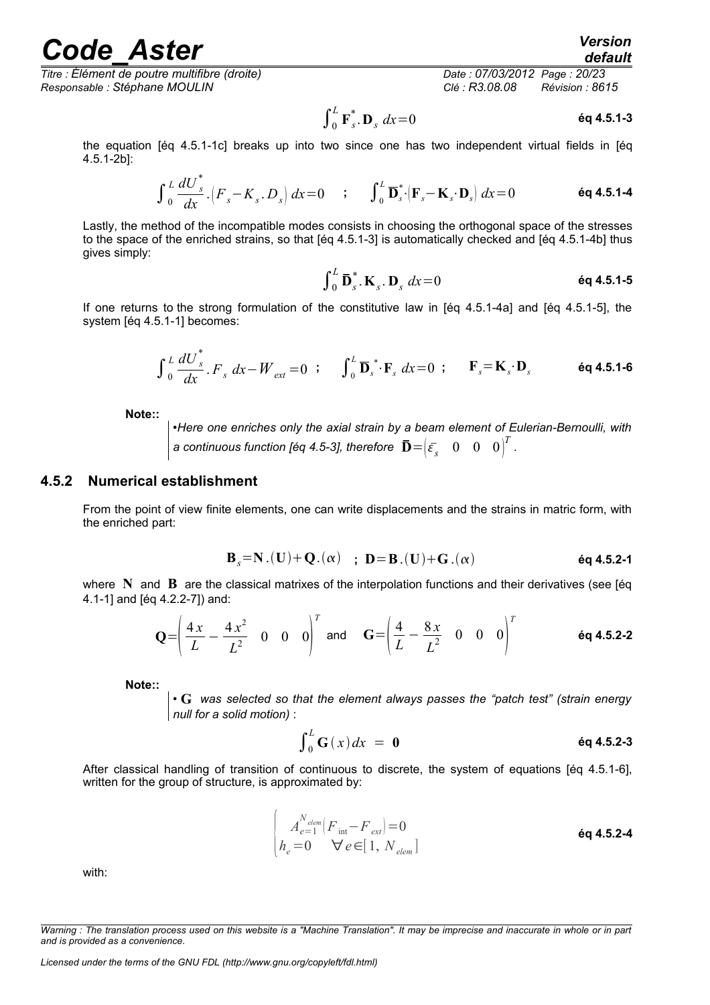*Titre : Élément de poutre multifibre (droite) Date : 07/03/2012 Page : 20/23 Responsable : Stéphane MOULIN Clé : R3.08.08 Révision : 8615*

*default*

$$
\int_0^L \mathbf{F}_s^* \cdot \mathbf{D}_s \, dx = 0 \tag{6q 4.5.1-3}
$$

the equation [éq 4.5.1-1c] breaks up into two since one has two independent virtual fields in [éq 4.5.1-2b]:

$$
\int_{0}^{L} \frac{dU_{s}^{*}}{dx} \cdot \left( F_{s} - K_{s} \cdot D_{s} \right) dx = 0 \qquad ; \qquad \int_{0}^{L} \mathbf{D}_{s}^{*} \cdot \left( \mathbf{F}_{s} - \mathbf{K}_{s} \cdot \mathbf{D}_{s} \right) dx = 0 \qquad \qquad \text{6q 4.5.1-4}
$$

Lastly, the method of the incompatible modes consists in choosing the orthogonal space of the stresses to the space of the enriched strains, so that [éq 4.5.1-3] is automatically checked and [éq 4.5.1-4b] thus gives simply:

$$
\int_0^L \mathbf{\bar{D}}_s^* \cdot \mathbf{K}_s \cdot \mathbf{D}_s \, dx = 0 \qquad \qquad \text{Eq 4.5.1-5}
$$

If one returns to the strong formulation of the constitutive law in [éq 4.5.1-4a] and [éq 4.5.1-5], the system [éq 4.5.1-1] becomes:

$$
\int_{0}^{L} \frac{dU_{s}^{*}}{dx} \cdot F_{s} dx - W_{ext} = 0 \quad ; \qquad \int_{0}^{L} \mathbf{D}_{s}^{*} \cdot \mathbf{F}_{s} dx = 0 \quad ; \qquad \mathbf{F}_{s} = \mathbf{K}_{s} \cdot \mathbf{D}_{s} \qquad \text{Eq 4.5.1-6}
$$

**Note::**

•*Here one enriches only the axial strain by a beam element of Eulerian-Bernoulli, with a* continuous function [éq 4.5-3], therefore  $\left[\mathbf{\bar{D}}\!=\!\!\left(\bar{\varepsilon_{_S}} \quad 0 \quad 0 \quad 0\right)^T$  .

#### **4.5.2 Numerical establishment**

<span id="page-19-0"></span>From the point of view finite elements, one can write displacements and the strains in matric form, with the enriched part:

$$
B_s = N.(U) + Q.(\alpha)
$$
;  $D = B.(U) + G.(\alpha)$  éq 4.5.2-1

where **N** and **B** are the classical matrixes of the interpolation functions and their derivatives (see [éq 4.1-1] and [éq 4.2.2-7]) and:

$$
\mathbf{Q} = \left( \frac{4x}{L} - \frac{4x^2}{L^2} \quad 0 \quad 0 \quad 0 \right)^T \text{ and } \quad \mathbf{G} = \left( \frac{4}{L} - \frac{8x}{L^2} \quad 0 \quad 0 \quad 0 \right)^T \tag{6q 4.5.2-2}
$$

**Note::** 

• **G** *was selected so that the element always passes the "patch test" (strain energy null for a solid motion)* :

$$
\int_0^L G(x) dx = 0
$$

After classical handling of transition of continuous to discrete, the system of equations [éq 4.5.1-6], written for the group of structure, is approximated by:

$$
\begin{cases}\nA_{e=1}^{N_{elem}}[F_{int}-F_{ext}] = 0\\ \nh_e = 0 \quad \forall e \in [1, N_{elem}]\n\end{cases}
$$
 6q 4.5.2-4

with:

*Licensed under the terms of the GNU FDL (http://www.gnu.org/copyleft/fdl.html)*

*Warning : The translation process used on this website is a "Machine Translation". It may be imprecise and inaccurate in whole or in part and is provided as a convenience.*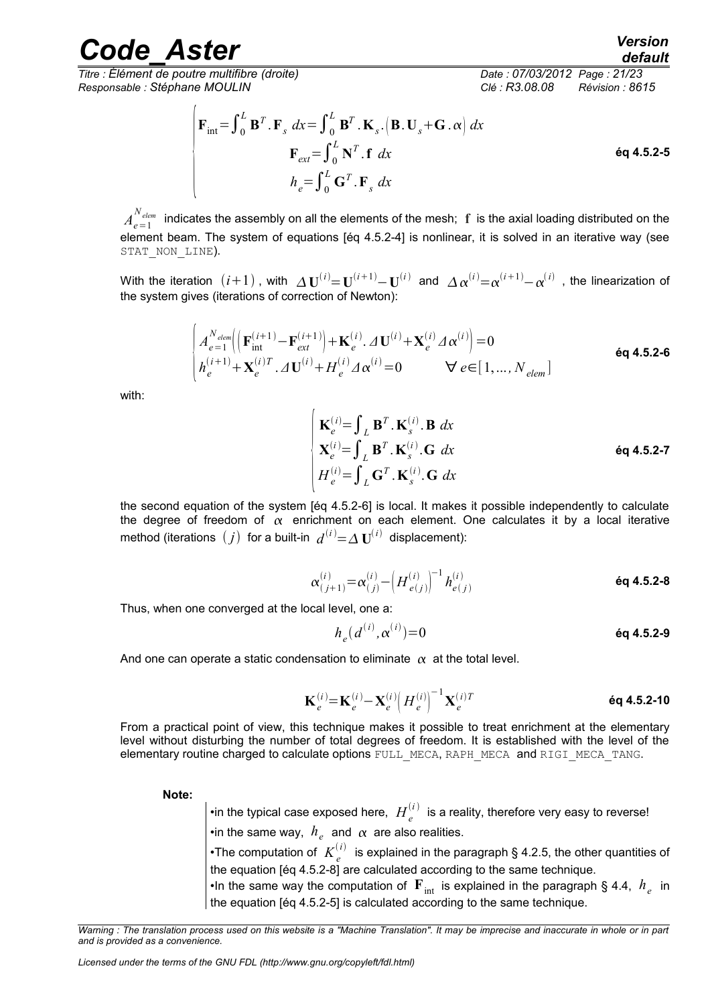## rande Aster *Version*

*Titre : Élément de poutre multifibre (droite) Date : 07/03/2012 Page : 21/23 Responsable : Stéphane MOULIN Clé : R3.08.08 Révision : 8615*

$$
\begin{cases}\n\mathbf{F}_{int} = \int_{0}^{L} \mathbf{B}^{T} \cdot \mathbf{F}_{s} \, dx = \int_{0}^{L} \mathbf{B}^{T} \cdot \mathbf{K}_{s} \cdot (\mathbf{B} \cdot \mathbf{U}_{s} + \mathbf{G} \cdot \alpha) \, dx \\
\mathbf{F}_{ext} = \int_{0}^{L} \mathbf{N}^{T} \cdot \mathbf{f} \, dx\n\end{cases}
$$
\n
$$
h_{e} = \int_{0}^{L} \mathbf{G}^{T} \cdot \mathbf{F}_{s} \, dx
$$
\n
$$
(4.5.2 - 5)
$$

 $A^{N_{elem}}_{e=1}$  indicates the assembly on all the elements of the mesh;  $\bf f$  is the axial loading distributed on the element beam. The system of equations [éq 4.5.2-4] is nonlinear, it is solved in an iterative way (see STAT NON LINE).

With the iteration  $(i+1)$  , with  $\Delta \mathbf{U}^{(i)}{=}\mathbf{U}^{(i+1)}{-}\mathbf{U}^{(i)}$  and  $\Delta \alpha^{(i)}{=}\alpha^{(i+1)}{-}\alpha^{(i)}$  , the linearization of the system gives (iterations of correction of Newton):

$$
\begin{cases}\nA_{e=1}^{N_{elem}} \Big( \Big( \mathbf{F}_{int}^{(i+1)} - \mathbf{F}_{ext}^{(i+1)} \Big) + \mathbf{K}_{e}^{(i)} \cdot \Delta \mathbf{U}^{(i)} + \mathbf{X}_{e}^{(i)} \Delta \alpha^{(i)} \Big) = 0 \\
h_{e}^{(i+1)} + \mathbf{X}_{e}^{(i)T} \cdot \Delta \mathbf{U}^{(i)} + H_{e}^{(i)} \Delta \alpha^{(i)} = 0 \qquad \forall e \in [1, ..., N_{elem}]\n\end{cases}
$$

with:

$$
\begin{cases}\n\mathbf{K}_{e}^{(i)} = \int_{L} \mathbf{B}^{T} \cdot \mathbf{K}_{s}^{(i)} \cdot \mathbf{B} \, dx \\
\mathbf{X}_{e}^{(i)} = \int_{L} \mathbf{B}^{T} \cdot \mathbf{K}_{s}^{(i)} \cdot \mathbf{G} \, dx \\
H_{e}^{(i)} = \int_{L} \mathbf{G}^{T} \cdot \mathbf{K}_{s}^{(i)} \cdot \mathbf{G} \, dx\n\end{cases}
$$

the second equation of the system [éq 4.5.2-6] is local. It makes it possible independently to calculate the degree of freedom of  $\alpha$  enrichment on each element. One calculates it by a local iterative method (iterations  $(j)$  for a built-in  $d^{(i)}$   $=$   $\Delta$   $\textbf{U}^{(i)}$  displacement):

$$
\alpha_{(j+1)}^{(i)} = \alpha_{(j)}^{(i)} - \left(H_{e(j)}^{(i)}\right)^{-1} h_{e(j)}^{(i)}
$$
éq 4.5.2-8

Thus, when one converged at the local level, one a:

$$
h_e(d^{(i)}, \alpha^{(i)}) = 0
$$

And one can operate a static condensation to eliminate  $\alpha$  at the total level.

$$
\mathbf{K}_{e}^{(i)} = \mathbf{K}_{e}^{(i)} - \mathbf{X}_{e}^{(i)} \left( H_{e}^{(i)} \right)^{-1} \mathbf{X}_{e}^{(i)T}
$$
 6q 4.5.2-10

From a practical point of view, this technique makes it possible to treat enrichment at the elementary level without disturbing the number of total degrees of freedom. It is established with the level of the elementary routine charged to calculate options FULL\_MECA, RAPH\_MECA and RIGI\_MECA\_TANG.

**Note:**

 $\bullet$ in the typical case exposed here,  $\ H_e^{(i)}$  is a reality, therefore very easy to reverse!

 $\cdot$ in the same way,  $\,h_{_e}\,$  and  $\,\alpha\,$  are also realities.

 $\bullet$ The computation of  $\ K_e^{(i)}$  is explained in the paragraph § 4.2.5, the other quantities of the equation [éq 4.5.2-8] are calculated according to the same technique.

•In the same way the computation of  $\mathbf{F}_{\text{int}}$  is explained in the paragraph § 4.4,  $\ h_{e}^{}$  in the equation [éq 4.5.2-5] is calculated according to the same technique.

*Warning : The translation process used on this website is a "Machine Translation". It may be imprecise and inaccurate in whole or in part and is provided as a convenience.*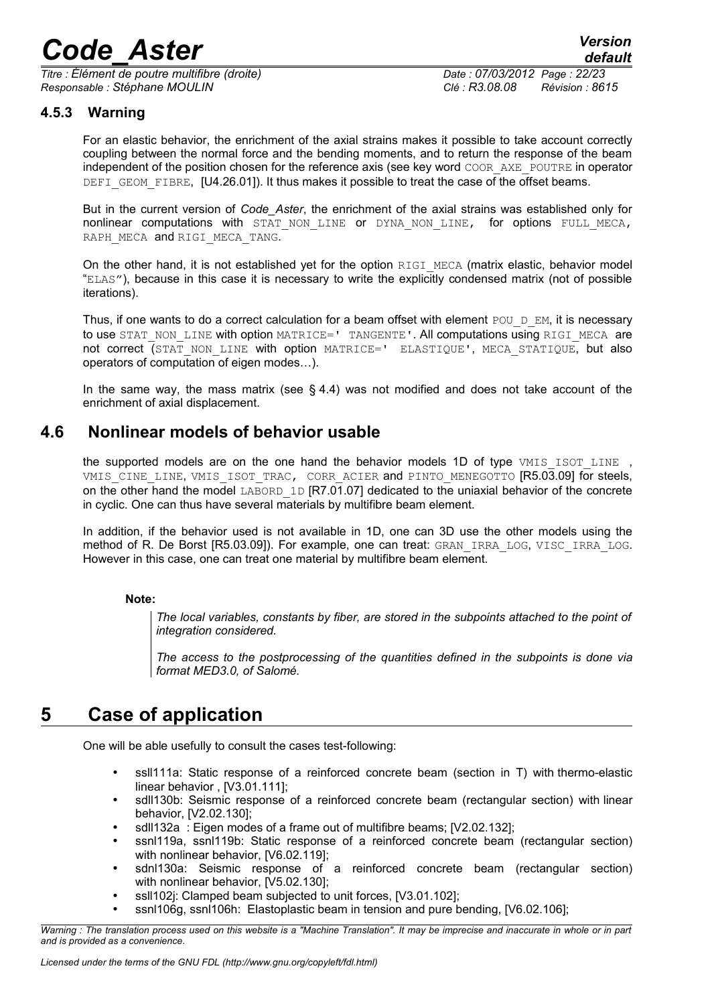*Titre : Élément de poutre multifibre (droite) Date : 07/03/2012 Page : 22/23 Responsable : Stéphane MOULIN Clé : R3.08.08 Révision : 8615*

#### **4.5.3 Warning**

<span id="page-21-2"></span>For an elastic behavior, the enrichment of the axial strains makes it possible to take account correctly coupling between the normal force and the bending moments, and to return the response of the beam independent of the position chosen for the reference axis (see key word COOR AXE POUTRE in operator DEFI GEOM FIBRE, [U4.26.01]). It thus makes it possible to treat the case of the offset beams.

But in the current version of *Code\_Aster*, the enrichment of the axial strains was established only for nonlinear computations with STAT NON LINE or DYNA NON LINE, for options FULL MECA, RAPH\_MECA and RIGI\_MECA\_TANG.

On the other hand, it is not established yet for the option  $RIGI$  MECA (matrix elastic, behavior model "ELAS"), because in this case it is necessary to write the explicitly condensed matrix (not of possible iterations).

Thus, if one wants to do a correct calculation for a beam offset with element POU D EM, it is necessary to use STAT\_NON\_LINE with option MATRICE=' TANGENTE'. All computations using RIGI\_MECA are not correct (STAT NON LINE with option MATRICE=' ELASTIQUE', MECA STATIQUE, but also operators of computation of eigen modes…).

In the same way, the mass matrix (see  $\S$  4.4) was not modified and does not take account of the enrichment of axial displacement.

### **4.6 Nonlinear models of behavior usable**

<span id="page-21-1"></span>the supported models are on the one hand the behavior models 1D of type VMIS ISOT LINE, VMIS CINE LINE, VMIS ISOT TRAC, CORR ACIER and PINTO MENEGOTTO [R5.03.09] for steels, on the other hand the model LABORD 1D [R7.01.07] dedicated to the uniaxial behavior of the concrete in cyclic. One can thus have several materials by multifibre beam element.

In addition, if the behavior used is not available in 1D, one can 3D use the other models using the method of R. De Borst [R5.03.09]). For example, one can treat: GRAN\_IRRA\_LOG, VISC\_IRRA\_LOG. However in this case, one can treat one material by multifibre beam element.

#### **Note:**

*The local variables, constants by fiber, are stored in the subpoints attached to the point of integration considered.*

*The access to the postprocessing of the quantities defined in the subpoints is done via format MED3.0, of Salomé.*

### **5 Case of application**

<span id="page-21-0"></span>One will be able usefully to consult the cases test-following:

- ssll111a: Static response of a reinforced concrete beam (section in T) with thermo-elastic linear behavior , [V3.01.111];
- sdll130b: Seismic response of a reinforced concrete beam (rectangular section) with linear behavior, [V2.02.130];
- sdll132a : Eigen modes of a frame out of multifibre beams; [V2.02.132];
- ssnl119a, ssnl119b: Static response of a reinforced concrete beam (rectangular section) with nonlinear behavior, [V6.02.119];
- sdnl130a: Seismic response of a reinforced concrete beam (rectangular section) with nonlinear behavior, [V5.02.130];
- ssll102j: Clamped beam subjected to unit forces, [V3.01.102];
- ssnl106g, ssnl106h: Elastoplastic beam in tension and pure bending, [V6.02.106];

*Warning : The translation process used on this website is a "Machine Translation". It may be imprecise and inaccurate in whole or in part and is provided as a convenience.*